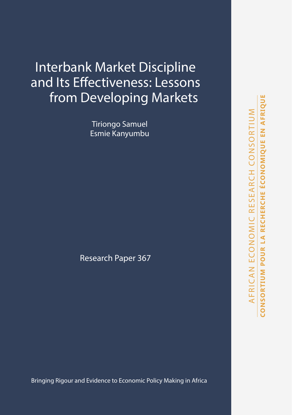# Interbank Market Discipline and Its Effectiveness: Lessons from Developing Markets

Tiriongo Samuel Esmie Kanyumbu

Research Paper 367

Bringing Rigour and Evidence to Economic Policy Making in Africa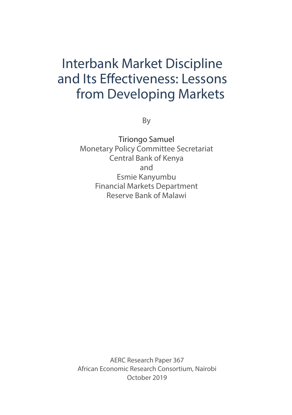# Interbank Market Discipline and Its Effectiveness: Lessons from Developing Markets

By

Tiriongo Samuel Monetary Policy Committee Secretariat Central Bank of Kenya and Esmie Kanyumbu Financial Markets Department Reserve Bank of Malawi

AERC Research Paper 367 African Economic Research Consortium, Nairobi October 2019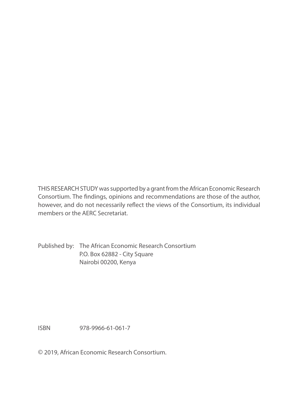THIS RESEARCH STUDY was supported by a grant from the African Economic Research Consortium. The findings, opinions and recommendations are those of the author, however, and do not necessarily reflect the views of the Consortium, its individual members or the AERC Secretariat.

Published by: The African Economic Research Consortium P.O. Box 62882 - City Square Nairobi 00200, Kenya

ISBN 978-9966-61-061-7

© 2019, African Economic Research Consortium.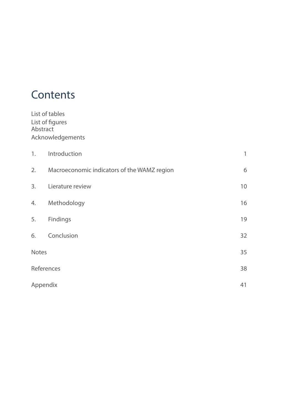# **Contents**

|       | List of tables<br>List of figures<br>Abstract |              |
|-------|-----------------------------------------------|--------------|
|       | Acknowledgements                              |              |
| 1.    | Introduction                                  | $\mathbb{1}$ |
| 2.    | Macroeconomic indicators of the WAMZ region   | 6            |
| 3.    | Lierature review                              | 10           |
| 4.    | Methodology                                   | 16           |
| 5.    | Findings                                      | 19           |
| 6.    | Conclusion                                    | 32           |
| Notes |                                               | 35           |
|       | References                                    | 38           |
|       | Appendix                                      | 41           |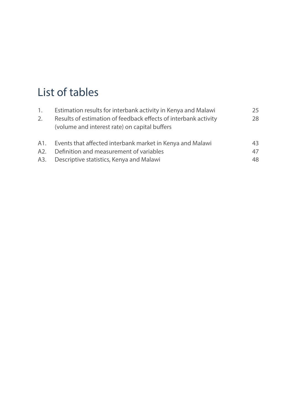# List of tables

| $\mathbf{1}$ .<br>2. | Estimation results for interbank activity in Kenya and Malawi<br>Results of estimation of feedback effects of interbank activity<br>(volume and interest rate) on capital buffers | 25<br>28 |
|----------------------|-----------------------------------------------------------------------------------------------------------------------------------------------------------------------------------|----------|
| A1.                  | Events that affected interbank market in Kenya and Malawi                                                                                                                         | 43       |
| A2.                  | Definition and measurement of variables                                                                                                                                           | 47       |
| A3.                  | Descriptive statistics, Kenya and Malawi                                                                                                                                          | 48       |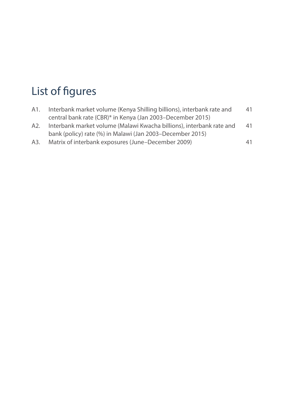# List of figures

| A1. | Interbank market volume (Kenya Shilling billions), interbank rate and | 41 |
|-----|-----------------------------------------------------------------------|----|
|     | central bank rate (CBR)* in Kenya (Jan 2003–December 2015)            |    |

- A2. Interbank market volume (Malawi Kwacha billions), interbank rate and 41 bank (policy) rate (%) in Malawi (Jan 2003–December 2015)
- A3. Matrix of interbank exposures (June–December 2009) 41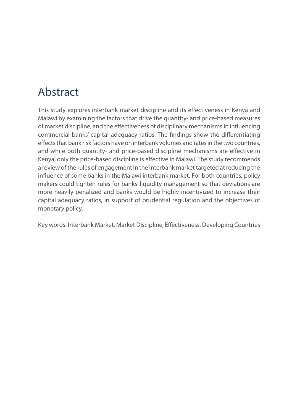# Abstract

This study explores interbank market discipline and its effectiveness in Kenya and Malawi by examining the factors that drive the quantity- and price-based measures of market discipline, and the effectiveness of disciplinary mechanisms in influencing commercial banks' capital adequacy ratios. The findings show the differentiating effects that bank risk factors have on interbank volumes and rates in the two countries, and while both quantity- and price-based discipline mechanisms are effective in Kenya, only the price-based discipline is effective in Malawi. The study recommends a review of the rules of engagement in the interbank market targeted at reducing the influence of some banks in the Malawi interbank market. For both countries, policy makers could tighten rules for banks' liquidity management so that deviations are more heavily penalized and banks would be highly incentivized to increase their capital adequacy ratios, in support of prudential regulation and the objectives of monetary policy.

Key words: Interbank Market, Market Discipline, Effectiveness, Developing Countries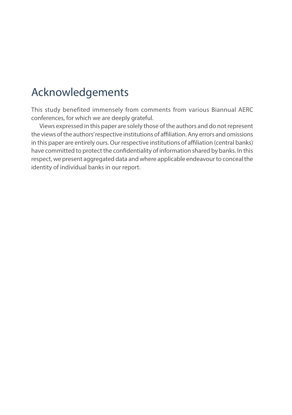# Acknowledgements

This study benefited immensely from comments from various Biannual AERC conferences, for which we are deeply grateful.

Views expressed in this paper are solely those of the authors and do not represent the views of the authors' respective institutions of affiliation. Any errors and omissions in this paper are entirely ours. Our respective institutions of affiliation (central banks) have committed to protect the confidentiality of information shared by banks. In this respect, we present aggregated data and where applicable endeavour to conceal the identity of individual banks in our report.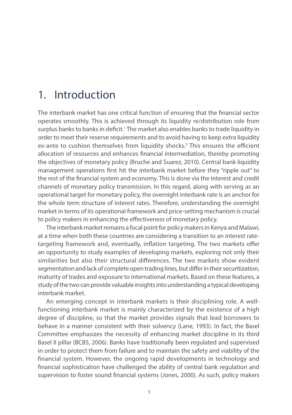## 1. Introduction

The interbank market has one critical function of ensuring that the financial sector operates smoothly. This is achieved through its liquidity re/distribution role from surplus banks to banks in deficit.<sup>1</sup> The market also enables banks to trade liquidity in order to meet their reserve requirements and to avoid having to keep extra liquidity ex-ante to cushion themselves from liquidity shocks.<sup>2</sup> This ensures the efficient allocation of resources and enhances financial intermediation, thereby promoting the objectives of monetary policy (Bruche and Suarez, 2010). Central bank liquidity management operations first hit the interbank market before they "ripple out" to the rest of the financial system and economy. This is done via the interest and credit channels of monetary policy transmission. In this regard, along with serving as an operational target for monetary policy, the overnight interbank rate is an anchor for the whole term structure of interest rates. Therefore, understanding the overnight market in terms of its operational framework and price-setting mechanism is crucial to policy makers in enhancing the effectiveness of monetary policy.

The interbank market remains a focal point for policy makers in Kenya and Malawi, at a time when both these countries are considering a transition to an interest ratetargeting framework and, eventually, inflation targeting. The two markets offer an opportunity to study examples of developing markets, exploring not only their similarities but also their structural differences. The two markets show evident segmentation and lack of complete open trading lines, but differ in their securitization, maturity of trades and exposure to international markets. Based on these features, a study of the two can provide valuable insights into understanding a typical developing interbank market.

An emerging concept in interbank markets is their disciplining role. A wellfunctioning interbank market is mainly characterized by the existence of a high degree of discipline, so that the market provides signals that lead borrowers to behave in a manner consistent with their solvency (Lane, 1993). In fact, the Basel Committee emphasizes the necessity of enhancing market discipline in its third Basel II pillar (BCBS, 2006). Banks have traditionally been regulated and supervised in order to protect them from failure and to maintain the safety and viability of the financial system. However, the ongoing rapid developments in technology and financial sophistication have challenged the ability of central bank regulation and supervision to foster sound financial systems (Jones, 2000). As such, policy makers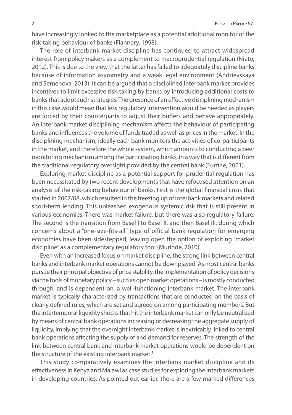have increasingly looked to the marketplace as a potential additional monitor of the risk-taking behaviour of banks (Flannery, 1998).

The role of interbank market discipline has continued to attract widespread interest from policy makers as a complement to macroprudential regulation (Nieto, 2012). This is due to the view that the latter has failed to adequately discipline banks because of information asymmetry and a weak legal environment (Andrievskaya and Semenova, 2013). It can be argued that a disciplined interbank market provides incentives to limit excessive risk-taking by banks by introducing additional costs to banks that adopt such strategies. The presence of an effective disciplining mechanism in this case would mean that less regulatory intervention would be needed as players are forced by their counterparts to adjust their buffers and behave appropriately. An interbank market disciplining mechanism affects the behaviour of participating banks and influences the volume of funds traded as well as prices in the market. In the disciplining mechanism, ideally each bank monitors the activities of co-participants in the market, and therefore the whole system, which amounts to conducting a peer monitoring mechanism among the participating banks, in a way that is different from the traditional regulatory oversight provided by the central bank (Furfine, 2001).

Exploring market discipline as a potential support for prudential regulation has been necessitated by two recent developments that have refocused attention on an analysis of the risk-taking behaviour of banks. First is the global financial crisis that started in 2007/08, which resulted in the freezing up of interbank markets and related short-term lending. This unleashed exogenous systemic risk that is still present in various economies. There was market failure, but there was also regulatory failure. The second is the transition from Basel I to Basel II, and then Basel III, during which concerns about a "one-size-fits-all" type of official bank regulation for emerging economies have been sidestepped, leaving open the option of exploiting "market discipline" as a complementary regulatory tool (Murinde, 2010).

Even with an increased focus on market discipline, the strong link between central banks and interbank market operations cannot be downplayed. As most central banks pursue their principal objective of price stability, the implementation of policy decisions via the tools of monetary policy – such as open market operations – is mostly conducted through, and is dependent on, a well-functioning interbank market. The interbank market is typically characterized by transactions that are conducted on the basis of clearly defined rules, which are set and agreed on among participating members. But the intertemporal liquidity shocks that hit the interbank market can only be neutralized by means of central bank operations increasing or decreasing the aggregate supply of liquidity, implying that the overnight interbank market is inextricably linked to central bank operations affecting the supply of and demand for reserves. The strength of the link between central bank and interbank market operations would be dependent on the structure of the existing interbank market.<sup>3</sup>

This study comparatively examines the interbank market discipline and its effectiveness in Kenya and Malawi as case studies for exploring the interbank markets in developing countries. As pointed out earlier, there are a few marked differences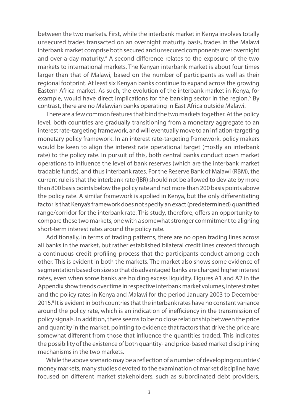between the two markets. First, while the interbank market in Kenya involves totally unsecured trades transacted on an overnight maturity basis, trades in the Malawi interbank market comprise both secured and unsecured components over overnight and over-a-day maturity.<sup>4</sup> A second difference relates to the exposure of the two markets to international markets. The Kenyan interbank market is about four times larger than that of Malawi, based on the number of participants as well as their regional footprint. At least six Kenyan banks continue to expand across the growing Eastern Africa market. As such, the evolution of the interbank market in Kenya, for example, would have direct implications for the banking sector in the region.<sup>5</sup> By contrast, there are no Malawian banks operating in East Africa outside Malawi.

There are a few common features that bind the two markets together. At the policy level, both countries are gradually transitioning from a monetary aggregate to an interest rate-targeting framework, and will eventually move to an inflation-targeting monetary policy framework. In an interest rate-targeting framework, policy makers would be keen to align the interest rate operational target (mostly an interbank rate) to the policy rate. In pursuit of this, both central banks conduct open market operations to influence the level of bank reserves (which are the interbank market tradable funds), and thus interbank rates. For the Reserve Bank of Malawi (RBM), the current rule is that the interbank rate (IBR) should not be allowed to deviate by more than 800 basis points below the policy rate and not more than 200 basis points above the policy rate. A similar framework is applied in Kenya, but the only differentiating factor is that Kenya's framework does not specify an exact (predetermined) quantified range/corridor for the interbank rate. This study, therefore, offers an opportunity to compare these two markets, one with a somewhat stronger commitment to aligning short-term interest rates around the policy rate.

Additionally, in terms of trading patterns, there are no open trading lines across all banks in the market, but rather established bilateral credit lines created through a continuous credit profiling process that the participants conduct among each other. This is evident in both the markets. The market also shows some evidence of segmentation based on size so that disadvantaged banks are charged higher interest rates, even when some banks are holding excess liquidity. Figures A1 and A2 in the Appendix show trends over time in respective interbank market volumes, interest rates and the policy rates in Kenya and Malawi for the period January 2003 to December 2015.<sup>6</sup> It is evident in both countries that the interbank rates have no constant variance around the policy rate, which is an indication of inefficiency in the transmission of policy signals. In addition, there seems to be no close relationship between the price and quantity in the market, pointing to evidence that factors that drive the price are somewhat different from those that influence the quantities traded. This indicates the possibility of the existence of both quantity- and price-based market disciplining mechanisms in the two markets.

While the above scenario may be a reflection of a number of developing countries' money markets, many studies devoted to the examination of market discipline have focused on different market stakeholders, such as subordinated debt providers,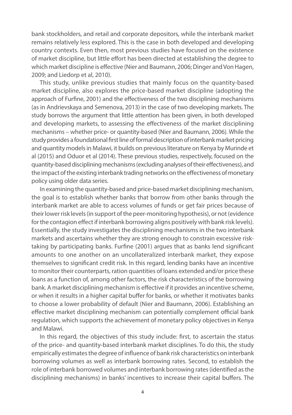bank stockholders, and retail and corporate depositors, while the interbank market remains relatively less explored. This is the case in both developed and developing country contexts. Even then, most previous studies have focused on the existence of market discipline, but little effort has been directed at establishing the degree to which market discipline is effective (Nier and Baumann, 2006; Dinger and Von Hagen, 2009; and Liedorp et al, 2010).

This study, unlike previous studies that mainly focus on the quantity-based market discipline, also explores the price-based market discipline (adopting the approach of Furfine, 2001) and the effectiveness of the two disciplining mechanisms (as in Andrievskaya and Semenova, 2013) in the case of two developing markets. The study borrows the argument that little attention has been given, in both developed and developing markets, to assessing the effectiveness of the market disciplining mechanisms – whether price- or quantity-based (Nier and Baumann, 2006). While the study provides a foundational first line of formal description of interbank market pricing and quantity models in Malawi, it builds on previous literature on Kenya by Murinde et al (2015) and Oduor et al (2014). These previous studies, respectively, focused on the quantity-based disciplining mechanisms (excluding analyses of their effectiveness), and the impact of the existing interbank trading networks on the effectiveness of monetary policy using older data series.

In examining the quantity-based and price-based market disciplining mechanism, the goal is to establish whether banks that borrow from other banks through the interbank market are able to access volumes of funds or get fair prices because of their lower risk levels (in support of the peer-monitoring hypothesis), or not (evidence for the contagion effect if interbank borrowing aligns positively with bank risk levels). Essentially, the study investigates the disciplining mechanisms in the two interbank markets and ascertains whether they are strong enough to constrain excessive risktaking by participating banks. Furfine (2001) argues that as banks lend significant amounts to one another on an uncollateralized interbank market, they expose themselves to significant credit risk. In this regard, lending banks have an incentive to monitor their counterparts, ration quantities of loans extended and/or price these loans as a function of, among other factors, the risk characteristics of the borrowing bank. A market disciplining mechanism is effective if it provides an incentive scheme, or when it results in a higher capital buffer for banks, or whether it motivates banks to choose a lower probability of default (Nier and Baumann, 2006). Establishing an effective market disciplining mechanism can potentially complement official bank regulation, which supports the achievement of monetary policy objectives in Kenya and Malawi.

In this regard, the objectives of this study include: first, to ascertain the status of the price- and quantity-based interbank market disciplines. To do this, the study empirically estimates the degree of influence of bank risk characteristics on interbank borrowing volumes as well as interbank borrowing rates. Second, to establish the role of interbank borrowed volumes and interbank borrowing rates (identified as the disciplining mechanisms) in banks' incentives to increase their capital buffers. The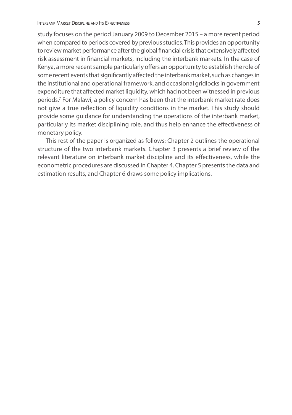study focuses on the period January 2009 to December 2015 – a more recent period when compared to periods covered by previous studies. This provides an opportunity to review market performance after the global financial crisis that extensively affected risk assessment in financial markets, including the interbank markets. In the case of Kenya, a more recent sample particularly offers an opportunity to establish the role of some recent events that significantly affected the interbank market, such as changes in the institutional and operational framework, and occasional gridlocks in government expenditure that affected market liquidity, which had not been witnessed in previous periods.7 For Malawi, a policy concern has been that the interbank market rate does not give a true reflection of liquidity conditions in the market. This study should provide some guidance for understanding the operations of the interbank market, particularly its market disciplining role, and thus help enhance the effectiveness of monetary policy.

This rest of the paper is organized as follows: Chapter 2 outlines the operational structure of the two interbank markets. Chapter 3 presents a brief review of the relevant literature on interbank market discipline and its effectiveness, while the econometric procedures are discussed in Chapter 4. Chapter 5 presents the data and estimation results, and Chapter 6 draws some policy implications.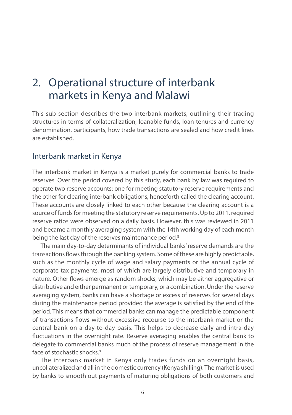# 2. Operational structure of interbank markets in Kenya and Malawi

This sub-section describes the two interbank markets, outlining their trading structures in terms of collateralization, loanable funds, loan tenures and currency denomination, participants, how trade transactions are sealed and how credit lines are established.

### Interbank market in Kenya

The interbank market in Kenya is a market purely for commercial banks to trade reserves. Over the period covered by this study, each bank by law was required to operate two reserve accounts: one for meeting statutory reserve requirements and the other for clearing interbank obligations, henceforth called the clearing account. These accounts are closely linked to each other because the clearing account is a source of funds for meeting the statutory reserve requirements. Up to 2011, required reserve ratios were observed on a daily basis. However, this was reviewed in 2011 and became a monthly averaging system with the 14th working day of each month being the last day of the reserves maintenance period.<sup>8</sup>

The main day-to-day determinants of individual banks' reserve demands are the transactions flows through the banking system. Some of these are highly predictable, such as the monthly cycle of wage and salary payments or the annual cycle of corporate tax payments, most of which are largely distributive and temporary in nature. Other flows emerge as random shocks, which may be either aggregative or distributive and either permanent or temporary, or a combination. Under the reserve averaging system, banks can have a shortage or excess of reserves for several days during the maintenance period provided the average is satisfied by the end of the period. This means that commercial banks can manage the predictable component of transactions flows without excessive recourse to the interbank market or the central bank on a day-to-day basis. This helps to decrease daily and intra-day fluctuations in the overnight rate. Reserve averaging enables the central bank to delegate to commercial banks much of the process of reserve management in the face of stochastic shocks.9

The interbank market in Kenya only trades funds on an overnight basis, uncollateralized and all in the domestic currency (Kenya shilling). The market is used by banks to smooth out payments of maturing obligations of both customers and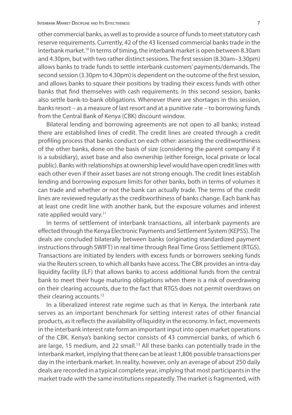other commercial banks, as well as to provide a source of funds to meet statutory cash reserve requirements. Currently, 42 of the 43 licensed commercial banks trade in the interbank market.<sup>10</sup> In terms of timing, the interbank market is open between 8.30am and 4.30pm, but with two rather distinct sessions. The first session (8.30am–3.30pm) allows banks to trade funds to settle interbank customers' payments/demands. The second session (3.30pm to 4.30pm) is dependent on the outcome of the first session, and allows banks to square their positions by trading their excess funds with other banks that find themselves with cash requirements. In this second session, banks also settle bank-to-bank obligations. Whenever there are shortages in this session, banks resort – as a measure of last resort and at a punitive rate – to borrowing funds from the Central Bank of Kenya (CBK) discount window.

Bilateral lending and borrowing agreements are not open to all banks; instead there are established lines of credit. The credit lines are created through a credit profiling process that banks conduct on each other: assessing the creditworthiness of the other banks, done on the basis of size (considering the parent company if it is a subsidiary), asset base and also ownership (either foreign, local private or local public). Banks with relationships at ownership level would have open credit lines with each other even if their asset bases are not strong enough. The credit lines establish lending and borrowing exposure limits for other banks, both in terms of volumes it can trade and whether or not the bank can actually trade. The terms of the credit lines are reviewed regularly as the creditworthiness of banks change. Each bank has at least one credit line with another bank, but the exposure volumes and interest rate applied would vary.<sup>11</sup>

In terms of settlement of interbank transactions, all interbank payments are effected through the Kenya Electronic Payments and Settlement System (KEPSS). The deals are concluded bilaterally between banks (originating standardized payment instructions through SWIFT) in real time through Real Time Gross Settlement (RTGS). Transactions are initiated by lenders with excess funds or borrowers seeking funds via the Reuters screen, to which all banks have access. The CBK provides an intra-day liquidity facility (ILF) that allows banks to access additional funds from the central bank to meet their huge maturing obligations when there is a risk of overdrawing on their clearing accounts, due to the fact that RTGS does not permit overdraws on their clearing accounts.<sup>12</sup>

In a liberalized interest rate regime such as that in Kenya, the interbank rate serves as an important benchmark for setting interest rates of other financial products, as it reflects the availability of liquidity in the economy. In fact, movements in the interbank interest rate form an important input into open market operations of the CBK. Kenya's banking sector consists of 43 commercial banks, of which 6 are large, 15 medium, and 22 small.<sup>13</sup> All these banks can potentially trade in the interbank market, implying that there can be at least 1,806 possible transactions per day in the interbank market. In reality, however, only an average of about 250 daily deals are recorded in a typical complete year, implying that most participants in the market trade with the same institutions repeatedly. The market is fragmented, with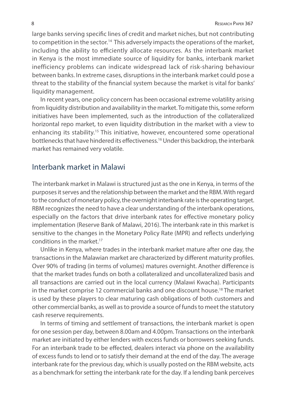large banks serving specific lines of credit and market niches, but not contributing to competition in the sector.<sup>14</sup> This adversely impacts the operations of the market, including the ability to efficiently allocate resources. As the interbank market in Kenya is the most immediate source of liquidity for banks, interbank market inefficiency problems can indicate widespread lack of risk-sharing behaviour between banks. In extreme cases, disruptions in the interbank market could pose a threat to the stability of the financial system because the market is vital for banks' liquidity management.

In recent years, one policy concern has been occasional extreme volatility arising from liquidity distribution and availability in the market. To mitigate this, some reform initiatives have been implemented, such as the introduction of the collateralized horizontal repo market, to even liquidity distribution in the market with a view to enhancing its stability.<sup>15</sup> This initiative, however, encountered some operational bottlenecks that have hindered its effectiveness.<sup>16</sup> Under this backdrop, the interbank market has remained very volatile.

### Interbank market in Malawi

The interbank market in Malawi is structured just as the one in Kenya, in terms of the purposes it serves and the relationship between the market and the RBM. With regard to the conduct of monetary policy, the overnight interbank rate is the operating target. RBM recognizes the need to have a clear understanding of the interbank operations, especially on the factors that drive interbank rates for effective monetary policy implementation (Reserve Bank of Malawi, 2016). The interbank rate in this market is sensitive to the changes in the Monetary Policy Rate (MPR) and reflects underlying conditions in the market.17

Unlike in Kenya, where trades in the interbank market mature after one day, the transactions in the Malawian market are characterized by different maturity profiles. Over 90% of trading (in terms of volumes) matures overnight. Another difference is that the market trades funds on both a collateralized and uncollateralized basis and all transactions are carried out in the local currency (Malawi Kwacha). Participants in the market comprise 12 commercial banks and one discount house.18 The market is used by these players to clear maturing cash obligations of both customers and other commercial banks, as well as to provide a source of funds to meet the statutory cash reserve requirements.

In terms of timing and settlement of transactions, the interbank market is open for one session per day, between 8.00am and 4.00pm. Transactions on the interbank market are initiated by either lenders with excess funds or borrowers seeking funds. For an interbank trade to be effected, dealers interact via phone on the availability of excess funds to lend or to satisfy their demand at the end of the day. The average interbank rate for the previous day, which is usually posted on the RBM website, acts as a benchmark for setting the interbank rate for the day. If a lending bank perceives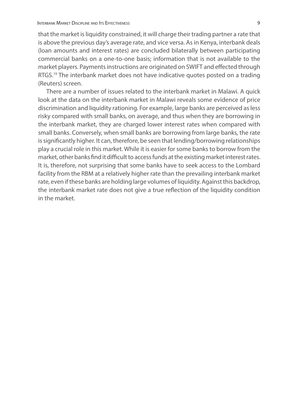that the market is liquidity constrained, it will charge their trading partner a rate that is above the previous day's average rate, and vice versa. As in Kenya, interbank deals (loan amounts and interest rates) are concluded bilaterally between participating commercial banks on a one-to-one basis; information that is not available to the market players. Payments instructions are originated on SWIFT and effected through RTGS.<sup>19</sup> The interbank market does not have indicative quotes posted on a trading (Reuters) screen.

There are a number of issues related to the interbank market in Malawi. A quick look at the data on the interbank market in Malawi reveals some evidence of price discrimination and liquidity rationing. For example, large banks are perceived as less risky compared with small banks, on average, and thus when they are borrowing in the interbank market, they are charged lower interest rates when compared with small banks. Conversely, when small banks are borrowing from large banks, the rate is significantly higher. It can, therefore, be seen that lending/borrowing relationships play a crucial role in this market. While it is easier for some banks to borrow from the market, other banks find it difficult to access funds at the existing market interest rates. It is, therefore, not surprising that some banks have to seek access to the Lombard facility from the RBM at a relatively higher rate than the prevailing interbank market rate, even if these banks are holding large volumes of liquidity. Against this backdrop, the interbank market rate does not give a true reflection of the liquidity condition in the market.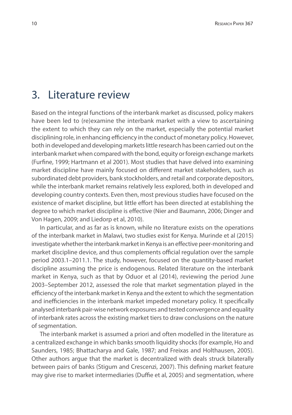### 3. Literature review

Based on the integral functions of the interbank market as discussed, policy makers have been led to (re)examine the interbank market with a view to ascertaining the extent to which they can rely on the market, especially the potential market disciplining role, in enhancing efficiency in the conduct of monetary policy. However, both in developed and developing markets little research has been carried out on the interbank market when compared with the bond, equity or foreign exchange markets (Furfine, 1999; Hartmann et al 2001). Most studies that have delved into examining market discipline have mainly focused on different market stakeholders, such as subordinated debt providers, bank stockholders, and retail and corporate depositors, while the interbank market remains relatively less explored, both in developed and developing country contexts. Even then, most previous studies have focused on the existence of market discipline, but little effort has been directed at establishing the degree to which market discipline is effective (Nier and Baumann, 2006; Dinger and Von Hagen, 2009; and Liedorp et al, 2010).

In particular, and as far as is known, while no literature exists on the operations of the interbank market in Malawi, two studies exist for Kenya. Murinde et al (2015) investigate whether the interbank market in Kenya is an effective peer-monitoring and market discipline device, and thus complements official regulation over the sample period 2003.1–2011.1. The study, however, focused on the quantity-based market discipline assuming the price is endogenous. Related literature on the interbank market in Kenya, such as that by Oduor et al (2014), reviewing the period June 2003–September 2012, assessed the role that market segmentation played in the efficiency of the interbank market in Kenya and the extent to which the segmentation and inefficiencies in the interbank market impeded monetary policy. It specifically analysed interbank pair-wise network exposures and tested convergence and equality of interbank rates across the existing market tiers to draw conclusions on the nature of segmentation.

The interbank market is assumed a priori and often modelled in the literature as a centralized exchange in which banks smooth liquidity shocks (for example, Ho and Saunders, 1985; Bhattacharya and Gale, 1987; and Freixas and Holthausen, 2005). Other authors argue that the market is decentralized with deals struck bilaterally between pairs of banks (Stigum and Crescenzi, 2007). This defining market feature may give rise to market intermediaries (Duffie et al, 2005) and segmentation, where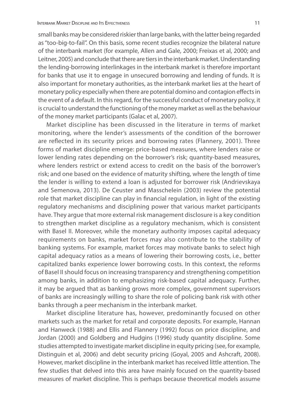small banks may be considered riskier than large banks, with the latter being regarded as "too-big-to-fail". On this basis, some recent studies recognize the bilateral nature of the interbank market (for example, Allen and Gale, 2000; Freixas et al, 2000; and Leitner, 2005) and conclude that there are tiers in the interbank market. Understanding the lending-borrowing interlinkages in the interbank market is therefore important for banks that use it to engage in unsecured borrowing and lending of funds. It is also important for monetary authorities, as the interbank market lies at the heart of monetary policy especially when there are potential domino and contagion effects in the event of a default. In this regard, for the successful conduct of monetary policy, it is crucial to understand the functioning of the money market as well as the behaviour of the money market participants (Galac et al, 2007).

Market discipline has been discussed in the literature in terms of market monitoring, where the lender's assessments of the condition of the borrower are reflected in its security prices and borrowing rates (Flannery, 2001). Three forms of market discipline emerge: price-based measures, where lenders raise or lower lending rates depending on the borrower's risk; quantity-based measures, where lenders restrict or extend access to credit on the basis of the borrower's risk; and one based on the evidence of maturity shifting, where the length of time the lender is willing to extend a loan is adjusted for borrower risk (Andrievskaya and Semenova, 2013). De Ceuster and Masschelein (2003) review the potential role that market discipline can play in financial regulation, in light of the existing regulatory mechanisms and disciplining power that various market participants have. They argue that more external risk management disclosure is a key condition to strengthen market discipline as a regulatory mechanism, which is consistent with Basel II. Moreover, while the monetary authority imposes capital adequacy requirements on banks, market forces may also contribute to the stability of banking systems. For example, market forces may motivate banks to select high capital adequacy ratios as a means of lowering their borrowing costs, i.e., better capitalized banks experience lower borrowing costs. In this context, the reforms of Basel II should focus on increasing transparency and strengthening competition among banks, in addition to emphasizing risk-based capital adequacy. Further, it may be argued that as banking grows more complex, government supervisors of banks are increasingly willing to share the role of policing bank risk with other banks through a peer mechanism in the interbank market.

Market discipline literature has, however, predominantly focused on other markets such as the market for retail and corporate deposits. For example, Hannan and Hanweck (1988) and Ellis and Flannery (1992) focus on price discipline, and Jordan (2000) and Goldberg and Hudgins (1996) study quantity discipline. Some studies attempted to investigate market discipline in equity pricing (see, for example, Distinguin et al, 2006) and debt security pricing (Goyal, 2005 and Ashcraft, 2008). However, market discipline in the interbank market has received little attention. The few studies that delved into this area have mainly focused on the quantity-based measures of market discipline. This is perhaps because theoretical models assume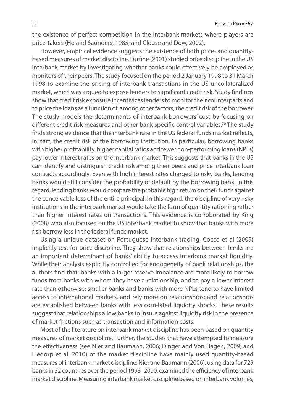the existence of perfect competition in the interbank markets where players are price-takers (Ho and Saunders, 1985; and Clouse and Dow, 2002).

However, empirical evidence suggests the existence of both price- and quantitybased measures of market discipline. Furfine (2001) studied price discipline in the US interbank market by investigating whether banks could effectively be employed as monitors of their peers. The study focused on the period 2 January 1998 to 31 March 1998 to examine the pricing of interbank transactions in the US uncollateralized market, which was argued to expose lenders to significant credit risk. Study findings show that credit risk exposure incentivizes lenders to monitor their counterparts and to price the loans as a function of, among other factors, the credit risk of the borrower. The study models the determinants of interbank borrowers' cost by focusing on different credit risk measures and other bank specific control variables.<sup>20</sup> The study finds strong evidence that the interbank rate in the US federal funds market reflects, in part, the credit risk of the borrowing institution. In particular, borrowing banks with higher profitability, higher capital ratios and fewer non-performing loans (NPLs) pay lower interest rates on the interbank market. This suggests that banks in the US can identify and distinguish credit risk among their peers and price interbank loan contracts accordingly. Even with high interest rates charged to risky banks, lending banks would still consider the probability of default by the borrowing bank. In this regard, lending banks would compare the probable high return on their funds against the conceivable loss of the entire principal. In this regard, the discipline of very risky institutions in the interbank market would take the form of quantity rationing rather than higher interest rates on transactions. This evidence is corroborated by King (2008) who also focused on the US interbank market to show that banks with more risk borrow less in the federal funds market.

Using a unique dataset on Portuguese interbank trading, Cocco et al (2009) implicitly test for price discipline. They show that relationships between banks are an important determinant of banks' ability to access interbank market liquidity. While their analysis explicitly controlled for endogeneity of bank relationships, the authors find that: banks with a larger reserve imbalance are more likely to borrow funds from banks with whom they have a relationship, and to pay a lower interest rate than otherwise; smaller banks and banks with more NPLs tend to have limited access to international markets, and rely more on relationships; and relationships are established between banks with less correlated liquidity shocks. These results suggest that relationships allow banks to insure against liquidity risk in the presence of market frictions such as transaction and information costs.

Most of the literature on interbank market discipline has been based on quantity measures of market discipline. Further, the studies that have attempted to measure the effectiveness (see Nier and Baumann, 2006; Dinger and Von Hagen, 2009; and Liedorp et al, 2010) of the market discipline have mainly used quantity-based measures of interbank market discipline. Nier and Baumann (2006), using data for 729 banks in 32 countries over the period 1993–2000, examined the efficiency of interbank market discipline. Measuring interbank market discipline based on interbank volumes,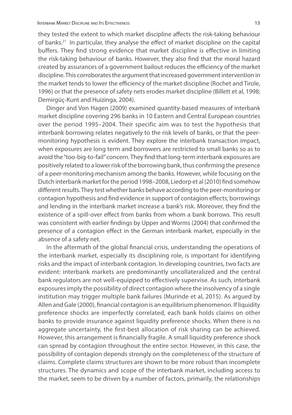they tested the extent to which market discipline affects the risk-taking behaviour of banks.<sup>21</sup> In particular, they analyse the effect of market discipline on the capital buffers. They find strong evidence that market discipline is effective in limiting the risk-taking behaviour of banks. However, they also find that the moral hazard created by assurances of a government bailout reduces the efficiency of the market discipline. This corroborates the argument that increased government intervention in the market tends to lower the efficiency of the market discipline (Rochet and Tirole, 1996) or that the presence of safety nets erodes market discipline (Billett et al, 1998; Demirgüç-Kunt and Huizinga, 2004).

Dinger and Von Hagen (2009) examined quantity-based measures of interbank market discipline covering 296 banks in 10 Eastern and Central European countries over the period 1995–2004. Their specific aim was to test the hypothesis that interbank borrowing relates negatively to the risk levels of banks, or that the peermonitoring hypothesis is evident. They explore the interbank transaction impact, when exposures are long term and borrowers are restricted to small banks so as to avoid the "too-big-to-fail" concern. They find that long-term interbank exposures are positively related to a lower risk of the borrowing bank, thus confirming the presence of a peer-monitoring mechanism among the banks. However, while focusing on the Dutch interbank market for the period 1998–2008, Liedorp et al (2010) find somehow different results. They test whether banks behave according to the peer-monitoring or contagion hypothesis and find evidence in support of contagion effects; borrowings and lending in the interbank market increase a bank's risk. Moreover, they find the existence of a spill-over effect from banks from whom a bank borrows. This result was consistent with earlier findings by Upper and Worms (2004) that confirmed the presence of a contagion effect in the German interbank market, especially in the absence of a safety net.

In the aftermath of the global financial crisis, understanding the operations of the interbank market, especially its disciplining role, is important for identifying risks and the impact of interbank contagion. In developing countries, two facts are evident: interbank markets are predominantly uncollateralized and the central bank regulators are not well-equipped to effectively supervise. As such, interbank exposures imply the possibility of direct contagion where the insolvency of a single institution may trigger multiple bank failures (Murinde et al, 2015). As argued by Allen and Gale (2000), financial contagion is an equilibrium phenomenon. If liquidity preference shocks are imperfectly correlated, each bank holds claims on other banks to provide insurance against liquidity preference shocks. When there is no aggregate uncertainty, the first-best allocation of risk sharing can be achieved. However, this arrangement is financially fragile. A small liquidity preference shock can spread by contagion throughout the entire sector. However, in this case, the possibility of contagion depends strongly on the completeness of the structure of claims. Complete claims structures are shown to be more robust than incomplete structures. The dynamics and scope of the interbank market, including access to the market, seem to be driven by a number of factors, primarily, the relationships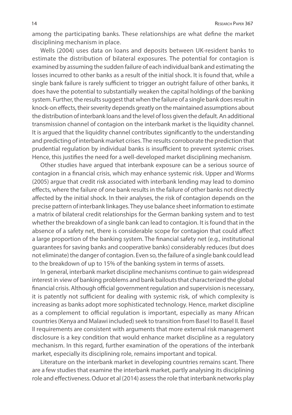among the participating banks. These relationships are what define the market disciplining mechanism in place.

Wells (2004) uses data on loans and deposits between UK-resident banks to estimate the distribution of bilateral exposures. The potential for contagion is examined by assuming the sudden failure of each individual bank and estimating the losses incurred to other banks as a result of the initial shock. It is found that, while a single bank failure is rarely sufficient to trigger an outright failure of other banks, it does have the potential to substantially weaken the capital holdings of the banking system. Further, the results suggest that when the failure of a single bank does result in knock-on effects, their severity depends greatly on the maintained assumptions about the distribution of interbank loans and the level of loss given the default. An additional transmission channel of contagion on the interbank market is the liquidity channel. It is argued that the liquidity channel contributes significantly to the understanding and predicting of interbank market crises. The results corroborate the prediction that prudential regulation by individual banks is insufficient to prevent systemic crises. Hence, this justifies the need for a well-developed market disciplining mechanism.

Other studies have argued that interbank exposure can be a serious source of contagion in a financial crisis, which may enhance systemic risk. Upper and Worms (2005) argue that credit risk associated with interbank lending may lead to domino effects, where the failure of one bank results in the failure of other banks not directly affected by the initial shock. In their analyses, the risk of contagion depends on the precise pattern of interbank linkages. They use balance sheet information to estimate a matrix of bilateral credit relationships for the German banking system and to test whether the breakdown of a single bank can lead to contagion. It is found that in the absence of a safety net, there is considerable scope for contagion that could affect a large proportion of the banking system. The financial safety net (e.g., institutional guarantees for saving banks and cooperative banks) considerably reduces (but does not eliminate) the danger of contagion. Even so, the failure of a single bank could lead to the breakdown of up to 15% of the banking system in terms of assets.

In general, interbank market discipline mechanisms continue to gain widespread interest in view of banking problems and bank bailouts that characterized the global financial crisis. Although official government regulation and supervision is necessary, it is patently not sufficient for dealing with systemic risk, of which complexity is increasing as banks adopt more sophisticated technology. Hence, market discipline as a complement to official regulation is important, especially as many African countries (Kenya and Malawi included) seek to transition from Basel I to Basel II. Basel II requirements are consistent with arguments that more external risk management disclosure is a key condition that would enhance market discipline as a regulatory mechanism. In this regard, further examination of the operations of the interbank market, especially its disciplining role, remains important and topical.

Literature on the interbank market in developing countries remains scant. There are a few studies that examine the interbank market, partly analysing its disciplining role and effectiveness. Oduor et al (2014) assess the role that interbank networks play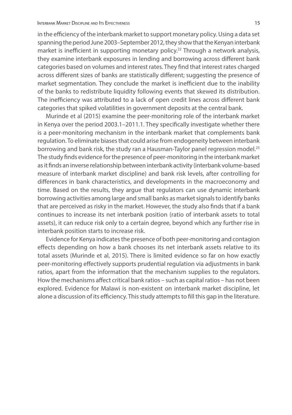in the efficiency of the interbank market to support monetary policy. Using a data set spanning the period June 2003–September 2012, they show that the Kenyan interbank market is inefficient in supporting monetary policy.<sup>22</sup> Through a network analysis, they examine interbank exposures in lending and borrowing across different bank categories based on volumes and interest rates. They find that interest rates charged across different sizes of banks are statistically different; suggesting the presence of market segmentation. They conclude the market is inefficient due to the inability of the banks to redistribute liquidity following events that skewed its distribution. The inefficiency was attributed to a lack of open credit lines across different bank categories that spiked volatilities in government deposits at the central bank.

Murinde et al (2015) examine the peer-monitoring role of the interbank market in Kenya over the period 2003.1–2011.1. They specifically investigate whether there is a peer-monitoring mechanism in the interbank market that complements bank regulation. To eliminate biases that could arise from endogeneity between interbank borrowing and bank risk, the study ran a Hausman-Taylor panel regression model.<sup>23</sup> The study finds evidence for the presence of peer-monitoring in the interbank market as it finds an inverse relationship between interbank activity (interbank volume-based measure of interbank market discipline) and bank risk levels, after controlling for differences in bank characteristics, and developments in the macroeconomy and time. Based on the results, they argue that regulators can use dynamic interbank borrowing activities among large and small banks as market signals to identify banks that are perceived as risky in the market. However, the study also finds that if a bank continues to increase its net interbank position (ratio of interbank assets to total assets), it can reduce risk only to a certain degree, beyond which any further rise in interbank position starts to increase risk.

Evidence for Kenya indicates the presence of both peer-monitoring and contagion effects depending on how a bank chooses its net interbank assets relative to its total assets (Murinde et al, 2015). There is limited evidence so far on how exactly peer-monitoring effectively supports prudential regulation via adjustments in bank ratios, apart from the information that the mechanism supplies to the regulators. How the mechanisms affect critical bank ratios – such as capital ratios – has not been explored. Evidence for Malawi is non-existent on interbank market discipline, let alone a discussion of its efficiency. This study attempts to fill this gap in the literature.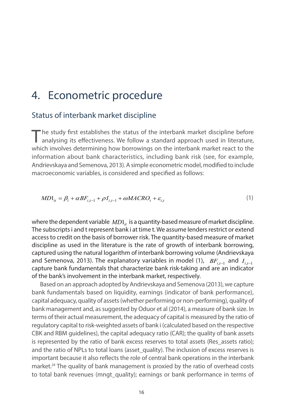### 4. Econometric procedure

### Status of interbank market discipline

The study first establishes the status of the interbank market discipline before analysing its effectiveness. We follow a standard approach used in literature, which involves determining how borrowings on the interbank market react to the information about bank characteristics, including bank risk (see, for example, Andrievskaya and Semenova, 2013). A simple econometric model, modified to include macroeconomic variables, is considered and specified as follows:

$$
MD1_{it} = \beta_i + \alpha BF_{i,t-1} + \rho I_{i,t-1} + \omega MACRO_t + \varepsilon_{i,t}
$$
\n<sup>(1)</sup>

where the dependent variable  $MD1_{it}$  is a quantity-based measure of market discipline. The subscripts i and t represent bank i at time t. We assume lenders restrict or extend access to credit on the basis of borrower risk. The quantity-based measure of market discipline as used in the literature is the rate of growth of interbank borrowing, captured using the natural logarithm of interbank borrowing volume (Andrievskaya and Semenova, 2013). The explanatory variables in model (1),  $BF_{i,t-1}$  and  $I_{i,t-1}$ capture bank fundamentals that characterize bank risk-taking and are an indicator of the bank's involvement in the interbank market, respectively.

Based on an approach adopted by Andrievskaya and Semenova (2013), we capture bank fundamentals based on liquidity, earnings (indicator of bank performance), capital adequacy, quality of assets (whether performing or non-performing), quality of bank management and, as suggested by Oduor et al (2014), a measure of bank size. In terms of their actual measurement, the adequacy of capital is measured by the ratio of regulatory capital to risk-weighted assets of bank i (calculated based on the respective CBK and RBM guidelines), the capital adequacy ratio (CAR); the quality of bank assets is represented by the ratio of bank excess reserves to total assets (Res\_assets ratio); and the ratio of NPLs to total loans (asset quality). The inclusion of excess reserves is important because it also reflects the role of central bank operations in the interbank market.<sup>24</sup> The quality of bank management is proxied by the ratio of overhead costs to total bank revenues (mngt quality); earnings or bank performance in terms of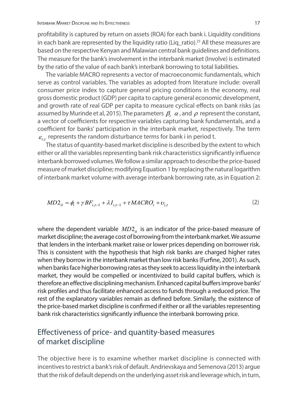profitability is captured by return on assets (ROA) for each bank i. Liquidity conditions in each bank are represented by the liquidity ratio (Liq\_ratio).<sup>25</sup> All these measures are based on the respective Kenyan and Malawian central bank guidelines and definitions. The measure for the bank's involvement in the interbank market (Involve) is estimated by the ratio of the value of each bank's interbank borrowing to total liabilities.

The variable MACRO represents a vector of macroeconomic fundamentals, which serve as control variables. The variables as adopted from literature include: overall consumer price index to capture general pricing conditions in the economy, real gross domestic product (GDP) per capita to capture general economic development, and growth rate of real GDP per capita to measure cyclical effects on bank risks (as assumed by Murinde et al, 2015). The parameters  $\beta_i$   $\alpha$ , and  $\rho$  represent the constant, a vector of coefficients for respective variables capturing bank fundamentals, and a coefficient for banks' participation in the interbank market, respectively. The term  $\varepsilon$ , represents the random disturbance terms for bank i in period t.

The status of quantity-based market discipline is described by the extent to which either or all the variables representing bank risk characteristics significantly influence interbank borrowed volumes. We follow a similar approach to describe the price-based measure of market discipline; modifying Equation 1 by replacing the natural logarithm of interbank market volume with average interbank borrowing rate, as in Equation 2:

$$
MD2_{it} = \phi_i + \gamma BF_{i,t-1} + \lambda I_{i,t-1} + \tau MACRO_t + \nu_{i,t}
$$
\n<sup>(2)</sup>

where the dependent variable  $MD2_{ii}$  is an indicator of the price-based measure of market discipline; the average cost of borrowing from the interbank market. We assume that lenders in the interbank market raise or lower prices depending on borrower risk. This is consistent with the hypothesis that high risk banks are charged higher rates when they borrow in the interbank market than low risk banks (Furfine, 2001). As such, when banks face higher borrowing rates as they seek to access liquidity in the interbank market, they would be compelled or incentivized to build capital buffers, which is therefore an effective disciplining mechanism. Enhanced capital buffers improve banks' risk profiles and thus facilitate enhanced access to funds through a reduced price. The rest of the explanatory variables remain as defined before. Similarly, the existence of the price-based market discipline is confirmed if either or all the variables representing bank risk characteristics significantly influence the interbank borrowing price.

### Effectiveness of price- and quantity-based measures of market discipline

The objective here is to examine whether market discipline is connected with incentives to restrict a bank's risk of default. Andrievskaya and Semenova (2013) argue that the risk of default depends on the underlying asset risk and leverage which, in turn,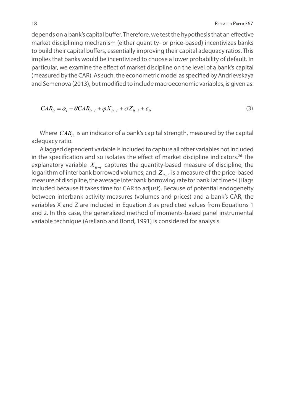depends on a bank's capital buffer. Therefore, we test the hypothesis that an effective market disciplining mechanism (either quantity- or price-based) incentivizes banks to build their capital buffers, essentially improving their capital adequacy ratios. This implies that banks would be incentivized to choose a lower probability of default. In particular, we examine the effect of market discipline on the level of a bank's capital (measured by the CAR). As such, the econometric model as specified by Andrievskaya and Semenova (2013), but modified to include macroeconomic variables, is given as:

$$
CAR_{it} = \alpha_i + \theta CAR_{it-i} + \phi X_{it-i} + \sigma Z_{it-i} + \varepsilon_{it}
$$
\n<sup>(3)</sup>

Where  $CAR_{it}$  is an indicator of a bank's capital strength, measured by the capital adequacy ratio.

A lagged dependent variable is included to capture all other variables not included in the specification and so isolates the effect of market discipline indicators.<sup>26</sup> The explanatory variable  $X_{i+1}$  captures the quantity-based measure of discipline, the logarithm of interbank borrowed volumes, and  $Z_{it-1}$  is a measure of the price-based measure of discipline, the average interbank borrowing rate for bank i at time t-i (i lags included because it takes time for CAR to adjust). Because of potential endogeneity between interbank activity measures (volumes and prices) and a bank's CAR, the variables X and Z are included in Equation 3 as predicted values from Equations 1 and 2. In this case, the generalized method of moments-based panel instrumental variable technique (Arellano and Bond, 1991) is considered for analysis.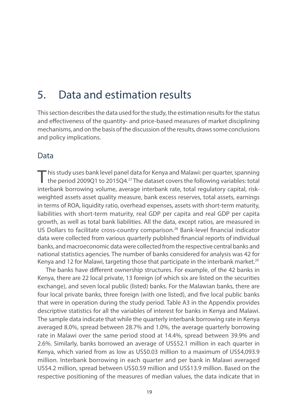## 5. Data and estimation results

This section describes the data used for the study, the estimation results for the status and effectiveness of the quantity- and price-based measures of market disciplining mechanisms, and on the basis of the discussion of the results, draws some conclusions and policy implications.

### Data

This study uses bank level panel data for Kenya and Malawi: per quarter, spanning<br>the period 2009Q1 to 2015Q4.<sup>27</sup> The dataset covers the following variables: total interbank borrowing volume, average interbank rate, total regulatory capital, riskweighted assets asset quality measure, bank excess reserves, total assets, earnings in terms of ROA, liquidity ratio, overhead expenses, assets with short-term maturity, liabilities with short-term maturity, real GDP per capita and real GDP per capita growth, as well as total bank liabilities. All the data, except ratios, are measured in US Dollars to facilitate cross-country comparison.28 Bank-level financial indicator data were collected from various quarterly published financial reports of individual banks, and macroeconomic data were collected from the respective central banks and national statistics agencies. The number of banks considered for analysis was 42 for Kenya and 12 for Malawi, targeting those that participate in the interbank market.<sup>29</sup>

The banks have different ownership structures. For example, of the 42 banks in Kenya, there are 22 local private, 13 foreign (of which six are listed on the securities exchange), and seven local public (listed) banks. For the Malawian banks, there are four local private banks, three foreign (with one listed), and five local public banks that were in operation during the study period. Table A3 in the Appendix provides descriptive statistics for all the variables of interest for banks in Kenya and Malawi. The sample data indicate that while the quarterly interbank borrowing rate in Kenya averaged 8.0%, spread between 28.7% and 1.0%, the average quarterly borrowing rate in Malawi over the same period stood at 14.4%, spread between 39.9% and 2.6%. Similarly, banks borrowed an average of US\$52.1 million in each quarter in Kenya, which varied from as low as US\$0.03 million to a maximum of US\$4,093.9 million. Interbank borrowing in each quarter and per bank in Malawi averaged US\$4.2 million, spread between US\$0.59 million and US\$13.9 million. Based on the respective positioning of the measures of median values, the data indicate that in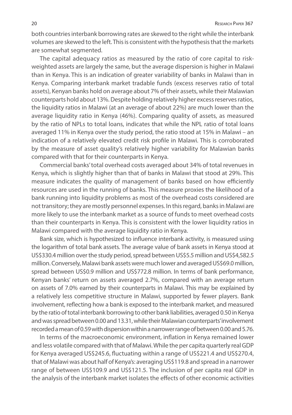both countries interbank borrowing rates are skewed to the right while the interbank volumes are skewed to the left. This is consistent with the hypothesis that the markets are somewhat segmented.

The capital adequacy ratios as measured by the ratio of core capital to riskweighted assets are largely the same, but the average dispersion is higher in Malawi than in Kenya. This is an indication of greater variability of banks in Malawi than in Kenya. Comparing interbank market tradable funds (excess reserves ratio of total assets), Kenyan banks hold on average about 7% of their assets, while their Malawian counterparts hold about 13%. Despite holding relatively higher excess reserves ratios, the liquidity ratios in Malawi (at an average of about 22%) are much lower than the average liquidity ratio in Kenya (46%). Comparing quality of assets, as measured by the ratio of NPLs to total loans, indicates that while the NPL ratio of total loans averaged 11% in Kenya over the study period, the ratio stood at 15% in Malawi – an indication of a relatively elevated credit risk profile in Malawi. This is corroborated by the measure of asset quality's relatively higher variability for Malawian banks compared with that for their counterparts in Kenya.

Commercial banks' total overhead costs averaged about 34% of total revenues in Kenya, which is slightly higher than that of banks in Malawi that stood at 29%. This measure indicates the quality of management of banks based on how efficiently resources are used in the running of banks. This measure proxies the likelihood of a bank running into liquidity problems as most of the overhead costs considered are not transitory; they are mostly personnel expenses. In this regard, banks in Malawi are more likely to use the interbank market as a source of funds to meet overhead costs than their counterparts in Kenya. This is consistent with the lower liquidity ratios in Malawi compared with the average liquidity ratio in Kenya.

Bank size, which is hypothesized to influence interbank activity, is measured using the logarithm of total bank assets. The average value of bank assets in Kenya stood at US\$330.4 million over the study period, spread between US\$5.5 million and US\$4,582.5 million. Conversely, Malawi bank assets were much lower and averaged US\$69.0 million, spread between US\$0.9 million and US\$772.8 million. In terms of bank performance, Kenyan banks' return on assets averaged 2.7%, compared with an average return on assets of 7.0% earned by their counterparts in Malawi. This may be explained by a relatively less competitive structure in Malawi, supported by fewer players. Bank involvement, reflecting how a bank is exposed to the interbank market, and measured by the ratio of total interbank borrowing to other bank liabilities, averaged 0.50 in Kenya and was spread between 0.00 and 13.31, while their Malawian counterparts' involvement recorded a mean of 0.59 with dispersion within a narrower range of between 0.00 and 5.76.

In terms of the macroeconomic environment, inflation in Kenya remained lower and less volatile compared with that of Malawi. While the per capita quarterly real GDP for Kenya averaged US\$245.6, fluctuating within a range of US\$221.4 and US\$270.4, that of Malawi was about half of Kenya's: averaging US\$119.8 and spread in a narrower range of between US\$109.9 and US\$121.5. The inclusion of per capita real GDP in the analysis of the interbank market isolates the effects of other economic activities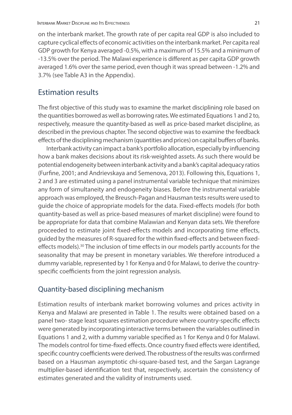on the interbank market. The growth rate of per capita real GDP is also included to capture cyclical effects of economic activities on the interbank market. Per capita real GDP growth for Kenya averaged -0.5%, with a maximum of 15.5% and a minimum of -13.5% over the period. The Malawi experience is different as per capita GDP growth averaged 1.6% over the same period, even though it was spread between -1.2% and 3.7% (see Table A3 in the Appendix).

### Estimation results

The first objective of this study was to examine the market disciplining role based on the quantities borrowed as well as borrowing rates. We estimated Equations 1 and 2 to, respectively, measure the quantity-based as well as price-based market discipline, as described in the previous chapter. The second objective was to examine the feedback effects of the disciplining mechanism (quantities and prices) on capital buffers of banks.

Interbank activity can impact a bank's portfolio allocation, especially by influencing how a bank makes decisions about its risk-weighted assets. As such there would be potential endogeneity between interbank activity and a bank's capital adequacy ratios (Furfine, 2001; and Andrievskaya and Semenova, 2013). Following this, Equations 1, 2 and 3 are estimated using a panel instrumental variable technique that minimizes any form of simultaneity and endogeneity biases. Before the instrumental variable approach was employed, the Breusch-Pagan and Hausman tests results were used to guide the choice of appropriate models for the data. Fixed-effects models (for both quantity-based as well as price-based measures of market discipline) were found to be appropriate for data that combine Malawian and Kenyan data sets. We therefore proceeded to estimate joint fixed-effects models and incorporating time effects, guided by the measures of R-squared for the within fixed-effects and between fixedeffects models).<sup>30</sup> The inclusion of time effects in our models partly accounts for the seasonality that may be present in monetary variables. We therefore introduced a dummy variable, represented by 1 for Kenya and 0 for Malawi, to derive the countryspecific coefficients from the joint regression analysis.

#### Quantity-based disciplining mechanism

Estimation results of interbank market borrowing volumes and prices activity in Kenya and Malawi are presented in Table 1. The results were obtained based on a panel two- stage least squares estimation procedure where country-specific effects were generated by incorporating interactive terms between the variables outlined in Equations 1 and 2, with a dummy variable specified as 1 for Kenya and 0 for Malawi. The models control for time-fixed effects. Once country fixed effects were identified, specific country coefficients were derived. The robustness of the results was confirmed based on a Hausman asymptotic chi-square-based test, and the Sargan Lagrange multiplier-based identification test that, respectively, ascertain the consistency of estimates generated and the validity of instruments used.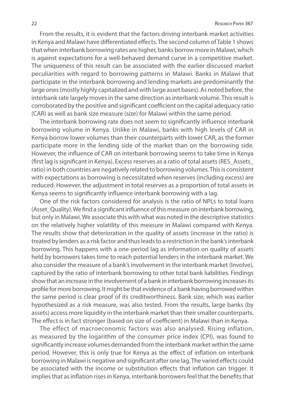From the results, it is evident that the factors driving interbank market activities in Kenya and Malawi have differentiated effects. The second column of Table 1 shows that when interbank borrowing rates are higher, banks borrow more in Malawi, which is against expectations for a well-behaved demand curve in a competitive market. The uniqueness of this result can be associated with the earlier discussed market peculiarities with regard to borrowing patterns in Malawi. Banks in Malawi that participate in the interbank borrowing and lending markets are predominantly the large ones (mostly highly capitalized and with large asset bases). As noted before, the interbank rate largely moves in the same direction as interbank volume. This result is corroborated by the positive and significant coefficient on the capital adequacy ratio (CAR) as well as bank size measure (size) for Malawi within the same period.

The interbank borrowing rate does not seem to significantly influence interbank borrowing volume in Kenya. Unlike in Malawi, banks with high levels of CAR in Kenya borrow lower volumes than their counterparts with lower CAR, as the former participate more in the lending side of the market than on the borrowing side. However, the influence of CAR on interbank borrowing seems to take time in Kenya (first lag is significant in Kenya). Excess reserves as a ratio of total assets (RES\_Assets\_ ratio) in both countries are negatively related to borrowing volumes. This is consistent with expectations as borrowing is necessitated when reserves (including excess) are reduced. However, the adjustment in total reserves as a proportion of total assets in Kenya seems to significantly influence interbank borrowing with a lag.

One of the risk factors considered for analysis is the ratio of NPLs to total loans (Asset\_Quality). We find a significant influence of this measure on interbank borrowing, but only in Malawi. We associate this with what was noted in the descriptive statistics on the relatively higher volatility of this measure in Malawi compared with Kenya. The results show that deterioration in the quality of assets (increase in the ratio) is treated by lenders as a risk factor and thus leads to a restriction in the bank's interbank borrowing. This happens with a one-period lag as information on quality of assets held by borrowers takes time to reach potential lenders in the interbank market. We also consider the measure of a bank's involvement in the interbank market (Involve), captured by the ratio of interbank borrowing to other total bank liabilities. Findings show that an increase in the involvement of a bank in interbank borrowing increases its profile for more borrowing. It might be that evidence of a bank having borrowed within the same period is clear proof of its creditworthiness. Bank size, which was earlier hypothesized as a risk measure, was also tested. From the results, large banks (by assets) access more liquidity in the interbank market than their smaller counterparts. The effect is in fact stronger (based on size of coefficient) in Malawi than in Kenya.

The effect of macroeconomic factors was also analysed. Rising inflation, as measured by the logarithm of the consumer price index (CPI), was found to significantly increase volumes demanded from the interbank market within the same period. However, this is only true for Kenya as the effect of inflation on interbank borrowing in Malawi is negative and significant after one lag. The varied effects could be associated with the income or substitution effects that inflation can trigger. It implies that as inflation rises in Kenya, interbank borrowers feel that the benefits that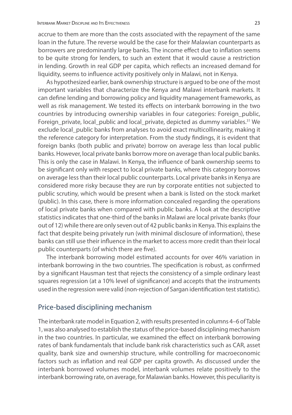accrue to them are more than the costs associated with the repayment of the same loan in the future. The reverse would be the case for their Malawian counterparts as borrowers are predominantly large banks. The income effect due to inflation seems to be quite strong for lenders, to such an extent that it would cause a restriction in lending. Growth in real GDP per capita, which reflects an increased demand for liquidity, seems to influence activity positively only in Malawi, not in Kenya.

As hypothesized earlier, bank ownership structure is argued to be one of the most important variables that characterize the Kenya and Malawi interbank markets. It can define lending and borrowing policy and liquidity management frameworks, as well as risk management. We tested its effects on interbank borrowing in the two countries by introducing ownership variables in four categories: Foreign\_public, Foreign\_private, local\_public and local\_private, depicted as dummy variables.<sup>31</sup> We exclude local\_public banks from analyses to avoid exact multicollinearity, making it the reference category for interpretation. From the study findings, it is evident that foreign banks (both public and private) borrow on average less than local public banks. However, local private banks borrow more on average than local public banks. This is only the case in Malawi. In Kenya, the influence of bank ownership seems to be significant only with respect to local private banks, where this category borrows on average less than their local public counterparts. Local private banks in Kenya are considered more risky because they are run by corporate entities not subjected to public scrutiny, which would be present when a bank is listed on the stock market (public). In this case, there is more information concealed regarding the operations of local private banks when compared with public banks. A look at the descriptive statistics indicates that one-third of the banks in Malawi are local private banks (four out of 12) while there are only seven out of 42 public banks in Kenya. This explains the fact that despite being privately run (with minimal disclosure of information), these banks can still use their influence in the market to access more credit than their local public counterparts (of which there are five).

The interbank borrowing model estimated accounts for over 46% variation in interbank borrowing in the two countries. The specification is robust, as confirmed by a significant Hausman test that rejects the consistency of a simple ordinary least squares regression (at a 10% level of significance) and accepts that the instruments used in the regression were valid (non-rejection of Sargan identification test statistic).

#### Price-based disciplining mechanism

The interbank rate model in Equation 2, with results presented in columns 4–6 of Table 1, was also analysed to establish the status of the price-based disciplining mechanism in the two countries. In particular, we examined the effect on interbank borrowing rates of bank fundamentals that include bank risk characteristics such as CAR, asset quality, bank size and ownership structure, while controlling for macroeconomic factors such as inflation and real GDP per capita growth. As discussed under the interbank borrowed volumes model, interbank volumes relate positively to the interbank borrowing rate, on average, for Malawian banks. However, this peculiarity is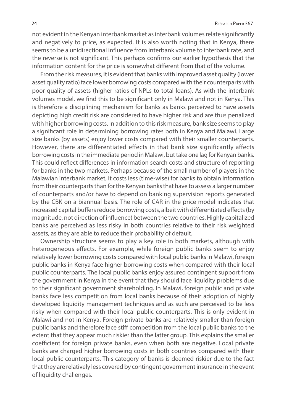not evident in the Kenyan interbank market as interbank volumes relate significantly and negatively to price, as expected. It is also worth noting that in Kenya, there seems to be a unidirectional influence from interbank volume to interbank rate, and the reverse is not significant. This perhaps confirms our earlier hypothesis that the information content for the price is somewhat different from that of the volume.

From the risk measures, it is evident that banks with improved asset quality (lower asset quality ratio) face lower borrowing costs compared with their counterparts with poor quality of assets (higher ratios of NPLs to total loans). As with the interbank volumes model, we find this to be significant only in Malawi and not in Kenya. This is therefore a disciplining mechanism for banks as banks perceived to have assets depicting high credit risk are considered to have higher risk and are thus penalized with higher borrowing costs. In addition to this risk measure, bank size seems to play a significant role in determining borrowing rates both in Kenya and Malawi. Large size banks (by assets) enjoy lower costs compared with their smaller counterparts. However, there are differentiated effects in that bank size significantly affects borrowing costs in the immediate period in Malawi, but take one lag for Kenyan banks. This could reflect differences in information search costs and structure of reporting for banks in the two markets. Perhaps because of the small number of players in the Malawian interbank market, it costs less (time-wise) for banks to obtain information from their counterparts than for the Kenyan banks that have to assess a larger number of counterparts and/or have to depend on banking supervision reports generated by the CBK on a biannual basis. The role of CAR in the price model indicates that increased capital buffers reduce borrowing costs, albeit with differentiated effects (by magnitude, not direction of influence) between the two countries. Highly capitalized banks are perceived as less risky in both countries relative to their risk weighted assets, as they are able to reduce their probability of default.

Ownership structure seems to play a key role in both markets, although with heterogeneous effects. For example, while foreign public banks seem to enjoy relatively lower borrowing costs compared with local public banks in Malawi, foreign public banks in Kenya face higher borrowing costs when compared with their local public counterparts. The local public banks enjoy assured contingent support from the government in Kenya in the event that they should face liquidity problems due to their significant government shareholding. In Malawi, foreign public and private banks face less competition from local banks because of their adoption of highly developed liquidity management techniques and as such are perceived to be less risky when compared with their local public counterparts. This is only evident in Malawi and not in Kenya. Foreign private banks are relatively smaller than foreign public banks and therefore face stiff competition from the local public banks to the extent that they appear much riskier than the latter group. This explains the smaller coefficient for foreign private banks, even when both are negative. Local private banks are charged higher borrowing costs in both countries compared with their local public counterparts. This category of banks is deemed riskier due to the fact that they are relatively less covered by contingent government insurance in the event of liquidity challenges.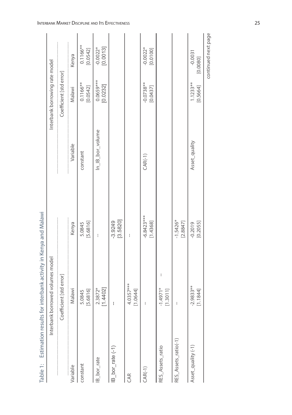| $25 - 1$              | The process of the Million Contract of the China State of the China State of the China State of the China State of the China State of the China State of the China State of the China State of the China State of the China St |                          |                       |                                |                         |
|-----------------------|--------------------------------------------------------------------------------------------------------------------------------------------------------------------------------------------------------------------------------|--------------------------|-----------------------|--------------------------------|-------------------------|
|                       | Interbank borrowed volumes model                                                                                                                                                                                               |                          |                       | Interbank borrowing rate model |                         |
|                       | Coefficient [std error]                                                                                                                                                                                                        |                          |                       | Coefficient [std error]        |                         |
| Variable              | Malawi                                                                                                                                                                                                                         | Kenya                    | Variable              | Malawi                         | Kenya                   |
| constant              | [5.6816]<br>LQ.<br>5.084                                                                                                                                                                                                       | [5.6816]<br>5.0845       | constant              | $0.1166***$<br>[0.0542]        | $0.1166***$<br>[0.0542] |
| IB_bor_rate           | [1.4402]<br>2.3872*                                                                                                                                                                                                            | ł                        | $In$ $B$ $bor$ volume | $0.0659***$<br>[0.0232]        | [0.0013]<br>$-0.0022*$  |
| $IB_$ bor_rate $(-1)$ | $\mathbf{I}$                                                                                                                                                                                                                   | [3.5820]<br>$-3.9249$    |                       |                                |                         |
| CAR                   | 4.0357***<br>[1.0644]                                                                                                                                                                                                          | ł                        |                       |                                |                         |
| $CAR(-1)$             | ł                                                                                                                                                                                                                              | $-6.8423***$<br>[1.4368] | $CAR(-1)$             | $-0.0738**$<br>[0.0437]        | $-0.0022*$<br>[0.0100]  |
| RES_Assets_ratio      | I<br>$71*$<br>[1.3011]<br>$-1.497$                                                                                                                                                                                             |                          |                       |                                |                         |
| RES_Assets_ratio(-1)  | ł                                                                                                                                                                                                                              | $-1.5426*$<br>[2.8847]   |                       |                                |                         |
| Asset_quality (-1)    | $-2.9833**$<br>[1.1844]                                                                                                                                                                                                        | [0.2055]<br>$-0.2019$    | Asset_quality         | $1.1233**$<br>[0.5664]         | $-0.0031$<br>[0.0080]   |
|                       |                                                                                                                                                                                                                                |                          |                       |                                | continued next page     |

Table 1: Estimation results for interbank activity in Kenya and Malawi Table 1: Estimation results for interbank activity in Kenya and Malawi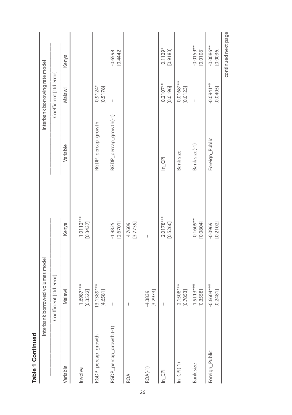|                            | Interbank borrowed volumes model |                         |                        | Interbank borrowing rate model |                         |
|----------------------------|----------------------------------|-------------------------|------------------------|--------------------------------|-------------------------|
|                            | Coefficient [std error]          |                         |                        | Coefficient [std error]        |                         |
| Variable                   | Malawi                           | Kenya                   | Variable               | Malawi                         | Kenya                   |
| Involve                    | 1.6987***<br>[0.3522]            | $1.0112***$<br>[0.3437] |                        |                                |                         |
| RGDP_percap_growth         | 13.1389***<br>[4.658]            | $\mathbf{I}$            | RGDP_percap_growth     | $0.9124*$<br>[0.5178]          | $\mathbf{I}$            |
| RGDP_percap_growth (-1)    | $\mathord{\mathop{\text{!`}}}$   | [2.6701]<br>$-1.9825$   | RGDP_percap_growth(-1) | $\mathbf{I}$                   | [0.4442]<br>$-0.6598$   |
| ROA                        | $\mathbf{I}$                     | [3.7739]<br>4.7609      |                        |                                |                         |
| ROA(-1)                    | [3.2973]<br>$-4.3839$            | ł                       |                        |                                |                         |
| $\ln$ <sub>CPI</sub>       | ł                                | $2.0178***$<br>[0.5266] | $\ln$ <sub>CPI</sub>   | $0.2107**$<br>[0.0196]         | $0.1129*$<br>[0.9183]   |
| $\ln$ <sub>_</sub> CPI(-1) | $-2.1508***$<br>[0.7853]         | ł                       | Bank size              | $-0.0168***$<br>[0.0123]       | ł                       |
| Bank size                  | $1.9113***$<br>[0.3558]          | $0.1609**$<br>[0.0804]  | Bank size(-1)          | ł                              | $-0.0159**$<br>[0.0106] |
| Foreign_Public             | $-0.6604***$<br>[0.248]          | [0.2102]<br>$-0.0969$   | Foreign_Public         | $-0.0941**$<br>[0.0405]        | $-0.0086**$<br>[0.0036] |
|                            |                                  |                         |                        |                                | continued next page     |

**Table 1 Continued**

Table 1 Continued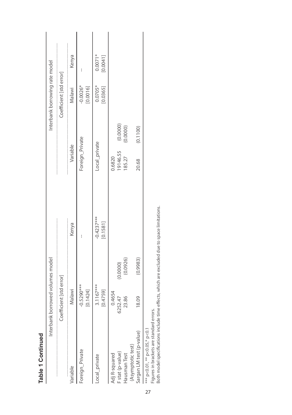| Ć |
|---|
|   |
|   |
|   |
|   |
|   |
|   |
|   |
| ₹ |
| c |
|   |
|   |
|   |

|                                                                           | Interbank borrowed volumes model |          |                                              |                 |          | Interbank borrowing rate model |                       |
|---------------------------------------------------------------------------|----------------------------------|----------|----------------------------------------------|-----------------|----------|--------------------------------|-----------------------|
|                                                                           | Coefficient [std error]          |          |                                              |                 |          | Coefficient [std error]        |                       |
| Variable                                                                  | Malawi                           |          | Kenya                                        | Variable        |          | Malawi                         | Kenya                 |
| Foreign_Private                                                           | $-0.5290***$<br>[0.1424]         |          |                                              | Foreign_Private |          | $-0.0026*$<br>[0.0016]         |                       |
| Local_private                                                             | 3.1167***<br>[0.4759]            |          | $-0.4237***$<br>[0.1581]                     | Local_private   |          | $0.0705*$<br>[0.0365]          | $0.0071*$<br>[0.0041] |
| Adj R-squared                                                             | 0.4654                           |          |                                              | 0.6820          |          |                                |                       |
| F stat (p-value)                                                          | 6252.47                          | (0.0000) |                                              | 19146.55        | (0.0000) |                                |                       |
| (Asymptotic test)<br>Hausman Test                                         | 23.86                            | (0.0926) |                                              | 185.27          | (0.0000) |                                |                       |
| Sargan LM test (p-value)                                                  | 18.09                            | (0.9983) |                                              | 20.68           | (0.1100) |                                |                       |
| Figures in brackets are standard errors.<br>*** p<0.01, ** p<0.05,* p<0.1 |                                  |          |                                              |                 |          |                                |                       |
| Both model specifications include time effects,                           |                                  |          | which are excluded due to space limitations. |                 |          |                                |                       |

27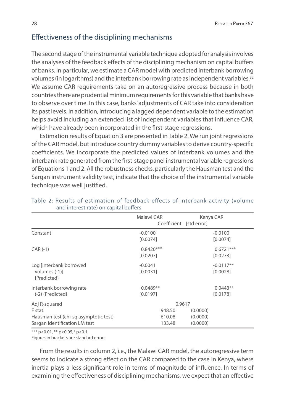### Effectiveness of the disciplining mechanisms

The second stage of the instrumental variable technique adopted for analysis involves the analyses of the feedback effects of the disciplining mechanism on capital buffers of banks. In particular, we estimate a CAR model with predicted interbank borrowing volumes (in logarithms) and the interbank borrowing rate as independent variables.32 We assume CAR requirements take on an autoregressive process because in both countries there are prudential minimum requirements for this variable that banks have to observe over time. In this case, banks' adjustments of CAR take into consideration its past levels. In addition, introducing a lagged dependent variable to the estimation helps avoid including an extended list of independent variables that influence CAR, which have already been incorporated in the first-stage regressions.

Estimation results of Equation 3 are presented in Table 2. We run joint regressions of the CAR model, but introduce country dummy variables to derive country-specific coefficients. We incorporate the predicted values of interbank volumes and the interbank rate generated from the first-stage panel instrumental variable regressions of Equations 1 and 2. All the robustness checks, particularly the Hausman test and the Sargan instrument validity test, indicate that the choice of the instrumental variable technique was well justified.

|                                                                                                    | Malawi CAR<br>Coefficient [std error] | Kenya CAR                        |                         |
|----------------------------------------------------------------------------------------------------|---------------------------------------|----------------------------------|-------------------------|
| Constant                                                                                           | $-0.0100$<br>[0.0074]                 |                                  | $-0.0100$<br>[0.0074]   |
| $CAR(-1)$                                                                                          | $0.8420***$<br>[0.0207]               |                                  | $0.6721***$<br>[0.0273] |
| Log [interbank borrowed<br>volumes $(-1)$ ]<br>{Predicted}                                         | $-0.0041$<br>[0.0031]                 |                                  | $-0.0117**$<br>[0.0028] |
| Interbank borrowing rate<br>(-2) {Predicted}                                                       | $0.0489**$<br>[0.0197]                |                                  | $0.0443**$<br>[0.0178]  |
| Adj R-squared<br>F stat.<br>Hausman test (chi-sq asymptotic test)<br>Sargan identification LM test | 0.9617<br>948.50<br>610.08<br>133.48  | (0.0000)<br>(0.0000)<br>(0.0000) |                         |

#### Table 2: Results of estimation of feedback effects of interbank activity (volume and interest rate) on capital buffers

\*\*\* p<0.01, \*\* p<0.05,\* p<0.1

Figures in brackets are standard errors.

From the results in column 2, i.e., the Malawi CAR model, the autoregressive term seems to indicate a strong effect on the CAR compared to the case in Kenya, where inertia plays a less significant role in terms of magnitude of influence. In terms of examining the effectiveness of disciplining mechanisms, we expect that an effective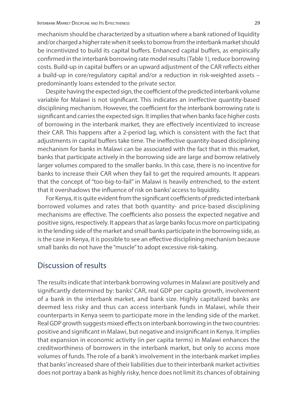mechanism should be characterized by a situation where a bank rationed of liquidity and/or charged a higher rate when it seeks to borrow from the interbank market should be incentivized to build its capital buffers. Enhanced capital buffers, as empirically confirmed in the interbank borrowing rate model results (Table 1), reduce borrowing costs. Build-up in capital buffers or an upward adjustment of the CAR reflects either a build-up in core/regulatory capital and/or a reduction in risk-weighted assets – predominantly loans extended to the private sector.

Despite having the expected sign, the coefficient of the predicted interbank volume variable for Malawi is not significant. This indicates an ineffective quantity-based disciplining mechanism. However, the coefficient for the interbank borrowing rate is significant and carries the expected sign. It implies that when banks face higher costs of borrowing in the interbank market, they are effectively incentivized to increase their CAR. This happens after a 2-period lag, which is consistent with the fact that adjustments in capital buffers take time. The ineffective quantity-based disciplining mechanism for banks in Malawi can be associated with the fact that in this market, banks that participate actively in the borrowing side are large and borrow relatively larger volumes compared to the smaller banks. In this case, there is no incentive for banks to increase their CAR when they fail to get the required amounts. It appears that the concept of "too-big-to-fail" in Malawi is heavily entrenched, to the extent that it overshadows the influence of risk on banks' access to liquidity.

For Kenya, it is quite evident from the significant coefficients of predicted interbank borrowed volumes and rates that both quantity- and price-based disciplining mechanisms are effective. The coefficients also possess the expected negative and positive signs, respectively. It appears that as large banks focus more on participating in the lending side of the market and small banks participate in the borrowing side, as is the case in Kenya, it is possible to see an effective disciplining mechanism because small banks do not have the "muscle" to adopt excessive risk-taking.

### Discussion of results

The results indicate that interbank borrowing volumes in Malawi are positively and significantly determined by: banks' CAR, real GDP per capita growth, involvement of a bank in the interbank market, and bank size. Highly capitalized banks are deemed less risky and thus can access interbank funds in Malawi, while their counterparts in Kenya seem to participate more in the lending side of the market. Real GDP growth suggests mixed effects on interbank borrowing in the two countries: positive and significant in Malawi, but negative and insignificant in Kenya. It implies that expansion in economic activity (in per capita terms) in Malawi enhances the creditworthiness of borrowers in the interbank market, but only to access more volumes of funds. The role of a bank's involvement in the interbank market implies that banks' increased share of their liabilities due to their interbank market activities does not portray a bank as highly risky, hence does not limit its chances of obtaining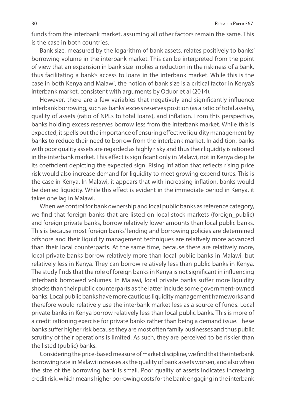funds from the interbank market, assuming all other factors remain the same. This is the case in both countries.

Bank size, measured by the logarithm of bank assets, relates positively to banks' borrowing volume in the interbank market. This can be interpreted from the point of view that an expansion in bank size implies a reduction in the riskiness of a bank, thus facilitating a bank's access to loans in the interbank market. While this is the case in both Kenya and Malawi, the notion of bank size is a critical factor in Kenya's interbank market, consistent with arguments by Oduor et al (2014).

However, there are a few variables that negatively and significantly influence interbank borrowing, such as banks' excess reserves position (as a ratio of total assets), quality of assets (ratio of NPLs to total loans), and inflation. From this perspective, banks holding excess reserves borrow less from the interbank market. While this is expected, it spells out the importance of ensuring effective liquidity management by banks to reduce their need to borrow from the interbank market. In addition, banks with poor quality assets are regarded as highly risky and thus their liquidity is rationed in the interbank market. This effect is significant only in Malawi, not in Kenya despite its coefficient depicting the expected sign. Rising inflation that reflects rising price risk would also increase demand for liquidity to meet growing expenditures. This is the case in Kenya. In Malawi, it appears that with increasing inflation, banks would be denied liquidity. While this effect is evident in the immediate period in Kenya, it takes one lag in Malawi.

When we control for bank ownership and local public banks as reference category, we find that foreign banks that are listed on local stock markets (foreign\_public) and foreign private banks, borrow relatively lower amounts than local public banks. This is because most foreign banks' lending and borrowing policies are determined offshore and their liquidity management techniques are relatively more advanced than their local counterparts. At the same time, because there are relatively more, local private banks borrow relatively more than local public banks in Malawi, but relatively less in Kenya. They can borrow relatively less than public banks in Kenya. The study finds that the role of foreign banks in Kenya is not significant in influencing interbank borrowed volumes. In Malawi, local private banks suffer more liquidity shocks than their public counterparts as the latter include some government-owned banks. Local public banks have more cautious liquidity management frameworks and therefore would relatively use the interbank market less as a source of funds. Local private banks in Kenya borrow relatively less than local public banks. This is more of a credit rationing exercise for private banks rather than being a demand issue. These banks suffer higher risk because they are most often family businesses and thus public scrutiny of their operations is limited. As such, they are perceived to be riskier than the listed (public) banks.

Considering the price-based measure of market discipline, we find that the interbank borrowing rate in Malawi increases as the quality of bank assets worsen, and also when the size of the borrowing bank is small. Poor quality of assets indicates increasing credit risk, which means higher borrowing costs for the bank engaging in the interbank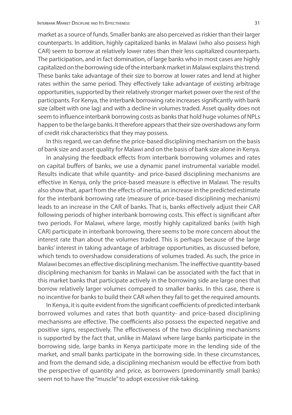market as a source of funds. Smaller banks are also perceived as riskier than their larger counterparts. In addition, highly capitalized banks in Malawi (who also possess high CAR) seem to borrow at relatively lower rates than their less capitalized counterparts. The participation, and in fact domination, of large banks who in most cases are highly capitalized on the borrowing side of the interbank market in Malawi explains this trend. These banks take advantage of their size to borrow at lower rates and lend at higher rates within the same period. They effectively take advantage of existing arbitrage opportunities, supported by their relatively stronger market power over the rest of the participants. For Kenya, the interbank borrowing rate increases significantly with bank size (albeit with one lag) and with a decline in volumes traded. Asset quality does not seem to influence interbank borrowing costs as banks that hold huge volumes of NPLs happen to be the large banks. It therefore appears that their size overshadows any form of credit risk characteristics that they may possess.

In this regard, we can define the price-based disciplining mechanism on the basis of bank size and asset quality for Malawi and on the basis of bank size alone in Kenya.

In analysing the feedback effects from interbank borrowing volumes and rates on capital buffers of banks, we use a dynamic panel instrumental variable model. Results indicate that while quantity- and price-based disciplining mechanisms are effective in Kenya, only the price-based measure is effective in Malawi. The results also show that, apart from the effects of inertia, an increase in the predicted estimate for the interbank borrowing rate (measure of price-based disciplining mechanism) leads to an increase in the CAR of banks. That is, banks effectively adjust their CAR following periods of higher interbank borrowing costs. This effect is significant after two periods. For Malawi, where large, mostly highly capitalized banks (with high CAR) participate in interbank borrowing, there seems to be more concern about the interest rate than about the volumes traded. This is perhaps because of the large banks' interest in taking advantage of arbitrage opportunities, as discussed before, which tends to overshadow considerations of volumes traded. As such, the price in Malawi becomes an effective disciplining mechanism. The ineffective quantity-based disciplining mechanism for banks in Malawi can be associated with the fact that in this market banks that participate actively in the borrowing side are large ones that borrow relatively larger volumes compared to smaller banks. In this case, there is no incentive for banks to build their CAR when they fail to get the required amounts.

In Kenya, it is quite evident from the significant coefficients of predicted interbank borrowed volumes and rates that both quantity- and price-based disciplining mechanisms are effective. The coefficients also possess the expected negative and positive signs, respectively. The effectiveness of the two disciplining mechanisms is supported by the fact that, unlike in Malawi where large banks participate in the borrowing side, large banks in Kenya participate more in the lending side of the market, and small banks participate in the borrowing side. In these circumstances, and from the demand side, a disciplining mechanism would be effective from both the perspective of quantity and price, as borrowers (predominantly small banks) seem not to have the "muscle" to adopt excessive risk-taking.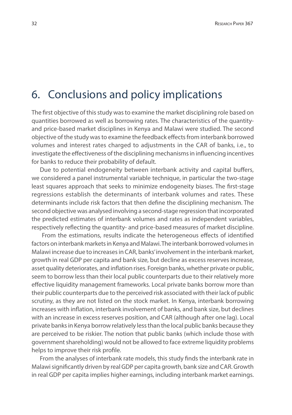## 6. Conclusions and policy implications

The first objective of this study was to examine the market disciplining role based on quantities borrowed as well as borrowing rates. The characteristics of the quantityand price-based market disciplines in Kenya and Malawi were studied. The second objective of the study was to examine the feedback effects from interbank borrowed volumes and interest rates charged to adjustments in the CAR of banks, i.e., to investigate the effectiveness of the disciplining mechanisms in influencing incentives for banks to reduce their probability of default.

Due to potential endogeneity between interbank activity and capital buffers, we considered a panel instrumental variable technique, in particular the two-stage least squares approach that seeks to minimize endogeneity biases. The first-stage regressions establish the determinants of interbank volumes and rates. These determinants include risk factors that then define the disciplining mechanism. The second objective was analysed involving a second-stage regression that incorporated the predicted estimates of interbank volumes and rates as independent variables, respectively reflecting the quantity- and price-based measures of market discipline.

 From the estimations, results indicate the heterogeneous effects of identified factors on interbank markets in Kenya and Malawi. The interbank borrowed volumes in Malawi increase due to increases in CAR, banks' involvement in the interbank market, growth in real GDP per capita and bank size, but decline as excess reserves increase, asset quality deteriorates, and inflation rises. Foreign banks, whether private or public, seem to borrow less than their local public counterparts due to their relatively more effective liquidity management frameworks. Local private banks borrow more than their public counterparts due to the perceived risk associated with their lack of public scrutiny, as they are not listed on the stock market. In Kenya, interbank borrowing increases with inflation, interbank involvement of banks, and bank size, but declines with an increase in excess reserves position, and CAR (although after one lag). Local private banks in Kenya borrow relatively less than the local public banks because they are perceived to be riskier. The notion that public banks (which include those with government shareholding) would not be allowed to face extreme liquidity problems helps to improve their risk profile.

From the analyses of interbank rate models, this study finds the interbank rate in Malawi significantly driven by real GDP per capita growth, bank size and CAR. Growth in real GDP per capita implies higher earnings, including interbank market earnings.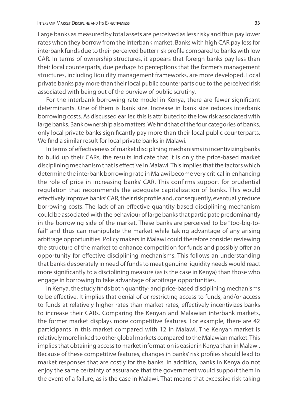Large banks as measured by total assets are perceived as less risky and thus pay lower rates when they borrow from the interbank market. Banks with high CAR pay less for interbank funds due to their perceived better risk profile compared to banks with low CAR. In terms of ownership structures, it appears that foreign banks pay less than their local counterparts, due perhaps to perceptions that the former's management structures, including liquidity management frameworks, are more developed. Local private banks pay more than their local public counterparts due to the perceived risk associated with being out of the purview of public scrutiny.

For the interbank borrowing rate model in Kenya, there are fewer significant determinants. One of them is bank size. Increase in bank size reduces interbank borrowing costs. As discussed earlier, this is attributed to the low risk associated with large banks. Bank ownership also matters. We find that of the four categories of banks, only local private banks significantly pay more than their local public counterparts. We find a similar result for local private banks in Malawi.

In terms of effectiveness of market disciplining mechanisms in incentivizing banks to build up their CARs, the results indicate that it is only the price-based market disciplining mechanism that is effective in Malawi. This implies that the factors which determine the interbank borrowing rate in Malawi become very critical in enhancing the role of price in increasing banks' CAR. This confirms support for prudential regulation that recommends the adequate capitalization of banks. This would effectively improve banks' CAR, their risk profile and, consequently, eventually reduce borrowing costs. The lack of an effective quantity-based disciplining mechanism could be associated with the behaviour of large banks that participate predominantly in the borrowing side of the market. These banks are perceived to be "too-big-tofail" and thus can manipulate the market while taking advantage of any arising arbitrage opportunities. Policy makers in Malawi could therefore consider reviewing the structure of the market to enhance competition for funds and possibly offer an opportunity for effective disciplining mechanisms. This follows an understanding that banks desperately in need of funds to meet genuine liquidity needs would react more significantly to a disciplining measure (as is the case in Kenya) than those who engage in borrowing to take advantage of arbitrage opportunities.

In Kenya, the study finds both quantity- and price-based disciplining mechanisms to be effective. It implies that denial of or restricting access to funds, and/or access to funds at relatively higher rates than market rates, effectively incentivizes banks to increase their CARs. Comparing the Kenyan and Malawian interbank markets, the former market displays more competitive features. For example, there are 42 participants in this market compared with 12 in Malawi. The Kenyan market is relatively more linked to other global markets compared to the Malawian market. This implies that obtaining access to market information is easier in Kenya than in Malawi. Because of these competitive features, changes in banks' risk profiles should lead to market responses that are costly for the banks. In addition, banks in Kenya do not enjoy the same certainty of assurance that the government would support them in the event of a failure, as is the case in Malawi. That means that excessive risk-taking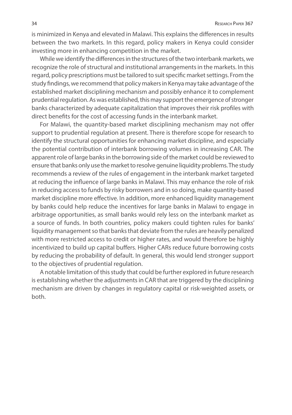is minimized in Kenya and elevated in Malawi. This explains the differences in results between the two markets. In this regard, policy makers in Kenya could consider investing more in enhancing competition in the market.

While we identify the differences in the structures of the two interbank markets, we recognize the role of structural and institutional arrangements in the markets. In this regard, policy prescriptions must be tailored to suit specific market settings. From the study findings, we recommend that policy makers in Kenya may take advantage of the established market disciplining mechanism and possibly enhance it to complement prudential regulation. As was established, this may support the emergence of stronger banks characterized by adequate capitalization that improves their risk profiles with direct benefits for the cost of accessing funds in the interbank market.

For Malawi, the quantity-based market disciplining mechanism may not offer support to prudential regulation at present. There is therefore scope for research to identify the structural opportunities for enhancing market discipline, and especially the potential contribution of interbank borrowing volumes in increasing CAR. The apparent role of large banks in the borrowing side of the market could be reviewed to ensure that banks only use the market to resolve genuine liquidity problems. The study recommends a review of the rules of engagement in the interbank market targeted at reducing the influence of large banks in Malawi. This may enhance the role of risk in reducing access to funds by risky borrowers and in so doing, make quantity-based market discipline more effective. In addition, more enhanced liquidity management by banks could help reduce the incentives for large banks in Malawi to engage in arbitrage opportunities, as small banks would rely less on the interbank market as a source of funds. In both countries, policy makers could tighten rules for banks' liquidity management so that banks that deviate from the rules are heavily penalized with more restricted access to credit or higher rates, and would therefore be highly incentivized to build up capital buffers. Higher CARs reduce future borrowing costs by reducing the probability of default. In general, this would lend stronger support to the objectives of prudential regulation.

A notable limitation of this study that could be further explored in future research is establishing whether the adjustments in CAR that are triggered by the disciplining mechanism are driven by changes in regulatory capital or risk-weighted assets, or both.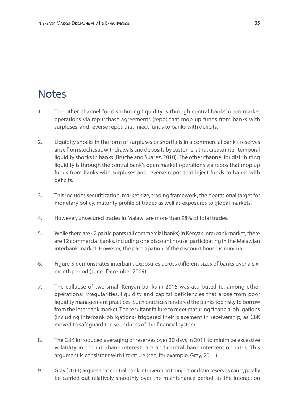## **Notes**

- 1. The other channel for distributing liquidity is through central banks' open market operations via repurchase agreements (repo) that mop up funds from banks with surpluses, and reverse repos that inject funds to banks with deficits.
- 2. Liquidity shocks in the form of surpluses or shortfalls in a commercial bank's reserves arise from stochastic withdrawals and deposits by customers that create inter-temporal liquidity shocks in banks (Bruche and Suarez, 2010). The other channel for distributing liquidity is through the central bank's open market operations via repos that mop up funds from banks with surpluses and reverse repos that inject funds to banks with deficits.
- 3. This includes securitization, market size, trading framework, the operational target for monetary policy, maturity profile of trades as well as exposures to global markets.
- 4. However, unsecured trades in Malawi are more than 98% of total trades.
- 5. While there are 42 participants (all commercial banks) in Kenya's interbank market, there are 12 commercial banks, including one discount house, participating in the Malawian interbank market. However, the participation of the discount house is minimal.
- 6. Figure 3 demonstrates interbank exposures across different sizes of banks over a sixmonth period (June–December 2009).
- 7. The collapse of two small Kenyan banks in 2015 was attributed to, among other operational irregularities, liquidity and capital deficiencies that arose from poor liquidity management practices. Such practices rendered the banks too risky to borrow from the interbank market. The resultant failure to meet maturing financial obligations (including interbank obligations) triggered their placement in receivership, as CBK moved to safeguard the soundness of the financial system.
- 8. The CBK introduced averaging of reserves over 30 days in 2011 to minimize excessive volatility in the interbank interest rate and central bank intervention rates. This argument is consistent with literature (see, for example, Gray, 2011).
- 9. Gray (2011) argues that central bank intervention to inject or drain reserves can typically be carried out relatively smoothly over the maintenance period, as the interaction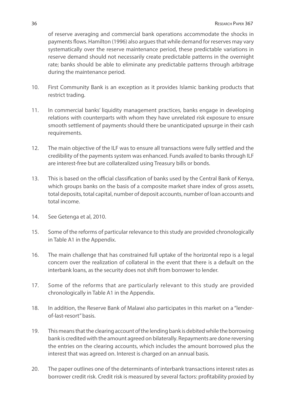of reserve averaging and commercial bank operations accommodate the shocks in payments flows. Hamilton (1996) also argues that while demand for reserves may vary systematically over the reserve maintenance period, these predictable variations in reserve demand should not necessarily create predictable patterns in the overnight rate; banks should be able to eliminate any predictable patterns through arbitrage during the maintenance period.

- 10. First Community Bank is an exception as it provides Islamic banking products that restrict trading.
- 11. In commercial banks' liquidity management practices, banks engage in developing relations with counterparts with whom they have unrelated risk exposure to ensure smooth settlement of payments should there be unanticipated upsurge in their cash requirements.
- 12. The main objective of the ILF was to ensure all transactions were fully settled and the credibility of the payments system was enhanced. Funds availed to banks through ILF are interest-free but are collateralized using Treasury bills or bonds.
- 13. This is based on the official classification of banks used by the Central Bank of Kenya, which groups banks on the basis of a composite market share index of gross assets, total deposits, total capital, number of deposit accounts, number of loan accounts and total income.
- 14. See Getenga et al, 2010.
- 15. Some of the reforms of particular relevance to this study are provided chronologically in Table A1 in the Appendix.
- 16. The main challenge that has constrained full uptake of the horizontal repo is a legal concern over the realization of collateral in the event that there is a default on the interbank loans, as the security does not shift from borrower to lender.
- 17. Some of the reforms that are particularly relevant to this study are provided chronologically in Table A1 in the Appendix.
- 18. In addition, the Reserve Bank of Malawi also participates in this market on a "lenderof-last-resort" basis.
- 19. This means that the clearing account of the lending bank is debited while the borrowing bank is credited with the amount agreed on bilaterally. Repayments are done reversing the entries on the clearing accounts, which includes the amount borrowed plus the interest that was agreed on. Interest is charged on an annual basis.
- 20. The paper outlines one of the determinants of interbank transactions interest rates as borrower credit risk. Credit risk is measured by several factors: profitability proxied by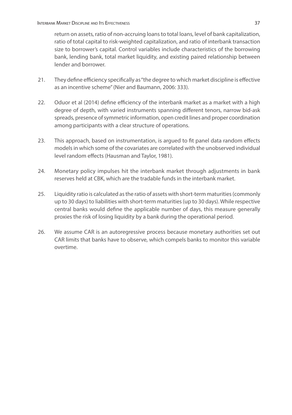return on assets, ratio of non-accruing loans to total loans, level of bank capitalization, ratio of total capital to risk-weighted capitalization, and ratio of interbank transaction size to borrower's capital. Control variables include characteristics of the borrowing bank, lending bank, total market liquidity, and existing paired relationship between lender and borrower.

- 21. They define efficiency specifically as "the degree to which market discipline is effective as an incentive scheme" (Nier and Baumann, 2006: 333).
- 22. Oduor et al (2014) define efficiency of the interbank market as a market with a high degree of depth, with varied instruments spanning different tenors, narrow bid-ask spreads, presence of symmetric information, open credit lines and proper coordination among participants with a clear structure of operations.
- 23. This approach, based on instrumentation, is argued to fit panel data random effects models in which some of the covariates are correlated with the unobserved individual level random effects (Hausman and Taylor, 1981).
- 24. Monetary policy impulses hit the interbank market through adjustments in bank reserves held at CBK, which are the tradable funds in the interbank market.
- 25. Liquidity ratio is calculated as the ratio of assets with short-term maturities (commonly up to 30 days) to liabilities with short-term maturities (up to 30 days). While respective central banks would define the applicable number of days, this measure generally proxies the risk of losing liquidity by a bank during the operational period.
- 26. We assume CAR is an autoregressive process because monetary authorities set out CAR limits that banks have to observe, which compels banks to monitor this variable overtime.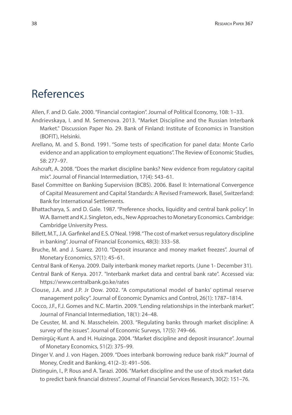## References

- Allen, F. and D. Gale. 2000. "Financial contagion". Journal of Political Economy, 108: 1–33.
- Andrievskaya, I. and M. Semenova. 2013. "Market Discipline and the Russian Interbank Market." Discussion Paper No. 29. Bank of Finland: Institute of Economics in Transition (BOFIT), Helsinki.
- Arellano, M. and S. Bond. 1991. "Some tests of specification for panel data: Monte Carlo evidence and an application to employment equations". The Review of Economic Studies, 58: 277–97.
- Ashcraft, A. 2008. "Does the market discipline banks? New evidence from regulatory capital mix". Journal of Financial Intermediation, 17(4): 543–61.
- Basel Committee on Banking Supervision (BCBS). 2006. Basel II: International Convergence of Capital Measurement and Capital Standards: A Revised Framework. Basel, Switzerland: Bank for International Settlements.
- Bhattacharya, S. and D. Gale. 1987. "Preference shocks, liquidity and central bank policy". In W.A. Barnett and K.J. Singleton, eds., New Approaches to Monetary Economics. Cambridge: Cambridge University Press.
- Billett, M.T., J.A. Garfinkel and E.S. O'Neal. 1998. "The cost of market versus regulatory discipline in banking". Journal of Financial Economics, 48(3): 333–58.
- Bruche, M. and J. Suarez. 2010. "Deposit insurance and money market freezes". Journal of Monetary Economics, 57(1): 45–61.
- Central Bank of Kenya. 2009. Daily interbank money market reports. (June 1- December 31).
- Central Bank of Kenya. 2017. "Interbank market data and central bank rate". Accessed via: https://www.centralbank.go.ke/rates
- Clouse, J.A. and J.P. Jr Dow. 2002. "A computational model of banks' optimal reserve management policy". Journal of Economic Dynamics and Control, 26(1): 1787–1814.
- Cocco, J.F., F.J. Gomes and N.C. Martin. 2009. "Lending relationships in the interbank market". Journal of Financial Intermediation, 18(1): 24–48.
- De Ceuster, M. and N. Masschelein. 2003. "Regulating banks through market discipline: A survey of the issues". Journal of Economic Surveys, 17(5): 749–66.
- Demirgüç-Kunt A. and H. Huizinga. 2004. "Market discipline and deposit insurance". Journal of Monetary Economics, 51(2): 375–99.
- Dinger V. and J. von Hagen. 2009. "Does interbank borrowing reduce bank risk?" Journal of Money, Credit and Banking, 41(2–3): 491–506.
- Distinguin, I., P. Rous and A. Tarazi. 2006. "Market discipline and the use of stock market data to predict bank financial distress". Journal of Financial Services Research, 30(2): 151–76.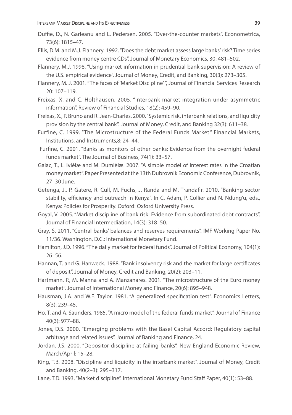- Duffie, D., N. Garleanu and L. Pedersen. 2005. "Over-the-counter markets". Econometrica, 73(6): 1815–47.
- Ellis, D.M. and M.J. Flannery. 1992. "Does the debt market assess large banks' risk? Time series evidence from money centre CDs". Journal of Monetary Economics, 30: 481–502.
- Flannery, M.J. 1998. "Using market information in prudential bank supervision: A review of the U.S. empirical evidence". Journal of Money, Credit, and Banking, 30(3): 273–305.
- Flannery, M. J. 2001. "The faces of 'Market Discipline' ", Journal of Financial Services Research 20: 107–119.
- Freixas, X. and C. Holthausen. 2005. "Interbank market integration under asymmetric information". Review of Financial Studies, 18(2): 459–90.
- Freixas, X., P. Bruno and R. Jean-Charles. 2000. "Systemic risk, interbank relations, and liquidity provision by the central bank". Journal of Money, Credit, and Banking 32(3): 611–38.
- Furfine, C. 1999. "The Microstructure of the Federal Funds Market." Financial Markets, Institutions, and Instruments,8: 24–44.
- Furfine, C. 2001. "Banks as monitors of other banks: Evidence from the overnight federal funds market". The Journal of Business, 74(1): 33–57.
- Galac, T., L. Ivièiæ and M. Dumièiæ. 2007. "A simple model of interest rates in the Croatian money market". Paper Presented at the 13th Dubrovnik Economic Conference, Dubrovnik, 27–30 June.
- Getenga, J., P. Gatere, R. Cull, M. Fuchs, J. Randa and M. Trandafir. 2010. "Banking sector stability, efficiency and outreach in Kenya". In C. Adam, P. Collier and N. Ndung'u, eds., Kenya: Policies for Prosperity. Oxford: Oxford University Press.
- Goyal, V. 2005. "Market discipline of bank risk: Evidence from subordinated debt contracts". Journal of Financial Intermediation, 14(3): 318–50.
- Gray, S. 2011. "Central banks' balances and reserves requirements". IMF Working Paper No. 11/36. Washington, D.C.: International Monetary Fund.
- Hamilton, J.D. 1996. "The daily market for federal funds". Journal of Political Economy, 104(1): 26–56.
- Hannan, T. and G. Hanweck. 1988. "Bank insolvency risk and the market for large certificates of deposit". Journal of Money, Credit and Banking, 20(2): 203–11.
- Hartmann, P., M. Manna and A. Manzanares. 2001. "The microstructure of the Euro money market". Journal of International Money and Finance, 20(6): 895–948.
- Hausman, J.A. and W.E. Taylor. 1981. "A generalized specification test". Economics Letters, 8(3): 239–45.
- Ho, T. and A. Saunders. 1985. "A micro model of the federal funds market". Journal of Finance 40(3): 977–88.
- Jones, D.S. 2000. "Emerging problems with the Basel Capital Accord: Regulatory capital arbitrage and related issues". Journal of Banking and Finance, 24.
- Jordan, J.S. 2000. "Depositor discipline at failing banks". New England Economic Review, March/April: 15–28.
- King, T.B. 2008. "Discipline and liquidity in the interbank market". Journal of Money, Credit and Banking, 40(2–3): 295–317.
- Lane, T.D. 1993. "Market discipline". International Monetary Fund Staff Paper, 40(1): 53–88.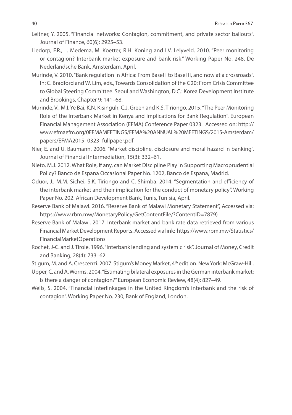- Leitner, Y. 2005. "Financial networks: Contagion, commitment, and private sector bailouts". Journal of Finance, 60(6): 2925–53.
- Liedorp, F.R., L. Medema, M. Koetter, R.H. Koning and I.V. Lelyveld. 2010. "Peer monitoring or contagion? Interbank market exposure and bank risk." Working Paper No. 248. De Nederlandsche Bank, Amsterdam, April.
- Murinde, V. 2010. "Bank regulation in Africa: From Basel I to Basel II, and now at a crossroads". In: C. Bradford and W. Lim, eds., Towards Consolidation of the G20: From Crisis Committee to Global Steering Committee. Seoul and Washington, D.C.: Korea Development Institute and Brookings, Chapter 9: 141–68.
- Murinde, V., M.I. Ye Bai, K.N. Kisinguh, C.J. Green and K.S. Tiriongo. 2015. "The Peer Monitoring Role of the Interbank Market in Kenya and Implications for Bank Regulation". European Financial Management Association (EFMA) Conference Paper 0323. Accessed on: http:// www.efmaefm.org/0EFMAMEETINGS/EFMA%20ANNUAL%20MEETINGS/2015-Amsterdam/ papers/EFMA2015\_0323\_fullpaper.pdf
- Nier, E. and U. Baumann. 2006. "Market discipline, disclosure and moral hazard in banking". Journal of Financial Intermediation, 15(3): 332–61.
- Nieto, M.J. 2012. What Role, if any, can Market Discipline Play in Supporting Macroprudential Policy? Banco de Espana Occasional Paper No. 1202, Banco de Espana, Madrid.
- Oduor, J., M.M. Sichei, S.K. Tiriongo and C. Shimba. 2014. "Segmentation and efficiency of the interbank market and their implication for the conduct of monetary policy". Working Paper No. 202. African Development Bank, Tunis, Tunisia, April.
- Reserve Bank of Malawi. 2016. "Reserve Bank of Malawi Monetary Statement", Accessed via: https://www.rbm.mw/MonetaryPolicy/GetContentFile/?ContentID=7879)
- Reserve Bank of Malawi. 2017. Interbank market and bank rate data retrieved from various Financial Market Development Reports. Accessed via link: https://www.rbm.mw/Statistics/ FinancialMarketOperations
- Rochet, J-C. and J. Tirole. 1996. "Interbank lending and systemic risk". Journal of Money, Credit and Banking, 28(4): 733–62.

Stigum, M. and A. Crescenzi. 2007. Stigum's Money Market, 4th edition. New York: McGraw-Hill.

Upper, C. and A. Worms. 2004. "Estimating bilateral exposures in the German interbank market: Is there a danger of contagion?" European Economic Review, 48(4): 827–49.

Wells, S. 2004. "Financial interlinkages in the United Kingdom's interbank and the risk of contagion". Working Paper No. 230, Bank of England, London.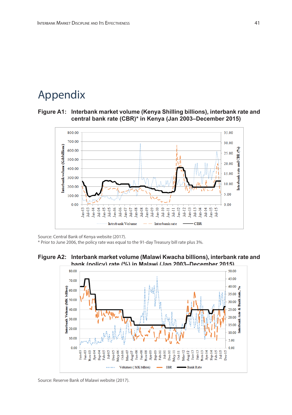## Appendix

#### **Figure A1: Interbank market volume (Kenya Shilling billions), interbank rate and central bank rate (CBR)\* in Kenya (Jan 2003–December 2015)**



Source: Central Bank of Kenya website (2017).

\* Prior to June 2006, the policy rate was equal to the 91-day Treasury bill rate plus 3%.

## **Figure A2: Interbank market volume (Malawi Kwacha billions), interbank rate and**



Source: Reserve Bank of Malawi website (2017).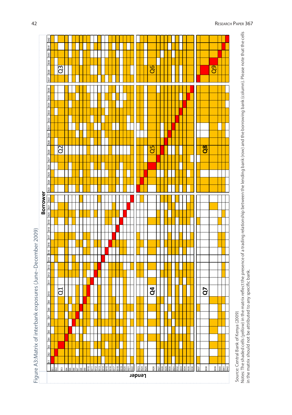| B42<br>B39 B40 B41<br>888 Z68<br>B35 B36<br><b>B33 B34</b><br>B31 B32<br>B29 B30<br>878<br>B27<br><b>B26</b><br>B23 B24 B25<br>Borrower<br>B20 B21 B22<br><b>B18</b> B19<br>B16 B17<br>B11 B12 B13 B14 B15<br>B10 |                             | $\overline{Q3}$<br>Q2<br>J |                                     |  |  |  |  |  |  |                                    |  | $\overline{\mathsf{Q6}}$<br>$\overline{\mathsf{Q}}$ 5<br>$\mathbf{q}$ |  |  |  |  |            | $\overline{\mathbf{R}}$<br>G | $\overline{q}$ |                                                                              |                                      |
|-------------------------------------------------------------------------------------------------------------------------------------------------------------------------------------------------------------------|-----------------------------|----------------------------|-------------------------------------|--|--|--|--|--|--|------------------------------------|--|-----------------------------------------------------------------------|--|--|--|--|------------|------------------------------|----------------|------------------------------------------------------------------------------|--------------------------------------|
| Figure A3:Matrix of interbank exposures (June–December 2009)<br>$\frac{8}{2}$<br>$\frac{8}{6}$<br><b>B6 B7</b><br>B5<br>$\frac{4}{5}$<br>$\frac{3}{2}$<br>$\frac{2}{3}$<br>희                                      | $\frac{1}{2}$ $\frac{1}{2}$ |                            | <u>s assabes as is sesses as as</u> |  |  |  |  |  |  | B23<br>B24<br>B25<br><b>Lender</b> |  |                                                                       |  |  |  |  | <b>B37</b> | B38                          |                | $\begin{array}{r} 839 \\ \hline 340 \\ \hline 942 \\ \hline 942 \end{array}$ | Source: Central Bank of Kenya (2009) |

Notes: The shaded cells (yellow) in the matrix reflect the presence of a trading relationship between the lending bank (row) and the borrowing bank (column). Please note that the cells<br>in the matrix should not be attribute Notes: The shaded cells (yellow) in the matrix reflect the presence of a trading relationship between the lending bank (row) and the borrowing bank (column). Please note that the cells in the matrix should not be attributed to any specific bank.

42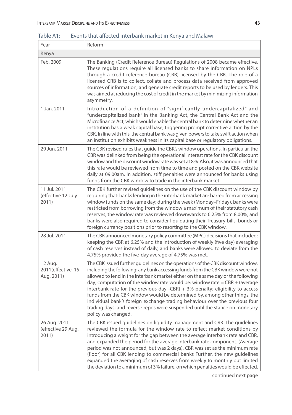| Year                                        | Reform                                                                                                                                                                                                                                                                                                                                                                                                                                                                                                                                                                                                                                                                                    |
|---------------------------------------------|-------------------------------------------------------------------------------------------------------------------------------------------------------------------------------------------------------------------------------------------------------------------------------------------------------------------------------------------------------------------------------------------------------------------------------------------------------------------------------------------------------------------------------------------------------------------------------------------------------------------------------------------------------------------------------------------|
| Kenya                                       |                                                                                                                                                                                                                                                                                                                                                                                                                                                                                                                                                                                                                                                                                           |
| Feb. 2009                                   | The Banking (Credit Reference Bureau) Regulations of 2008 became effective.<br>These regulations require all licensed banks to share information on NPLs<br>through a credit reference bureau (CRB) licensed by the CBK. The role of a<br>licensed CRB is to collect, collate and process data received from approved<br>sources of information, and generate credit reports to be used by lenders. This<br>was aimed at reducing the cost of credit in the market by minimizing information<br>asymmetry.                                                                                                                                                                                |
| 1 Jan. 2011                                 | Introduction of a definition of "significantly undercapitalized" and<br>"undercapitalized bank" in the Banking Act, the Central Bank Act and the<br>Microfinance Act, which would enable the central bank to determine whether an<br>institution has a weak capital base, triggering prompt corrective action by the<br>CBK. In line with this, the central bank was given powers to take swift action when<br>an institution exhibits weakness in its capital base or regulatory obligations.                                                                                                                                                                                            |
| 29 Jun. 2011                                | The CBK revised rules that guide the CBK's window operations. In particular, the<br>CBR was delinked from being the operational interest rate for the CBK discount<br>window and the discount window rate was set at 8%. Also, it was announced that<br>this rate would be reviewed from time to time and posted on the CBK website<br>daily at 09.00am. In addition, stiff penalties were announced for banks using<br>funds from the CBK window to trade in the interbank market.                                                                                                                                                                                                       |
| 11 Jul. 2011<br>(effective 12 July<br>2011) | The CBK further revised guidelines on the use of the CBK discount window by<br>requiring that: banks lending in the interbank market are barred from accessing<br>window funds on the same day; during the week (Monday-Friday), banks were<br>restricted from borrowing from the window a maximum of their statutory cash<br>reserves; the window rate was reviewed downwards to 6.25% from 8.00%; and<br>banks were also required to consider liquidating their Treasury bills, bonds or<br>foreign currency positions prior to resorting to the CBK window.                                                                                                                            |
| 28 Jul. 2011                                | The CBK announced monetary policy committee (MPC) decisions that included:<br>keeping the CBR at 6.25% and the introduction of weekly (five day) averaging<br>of cash reserves instead of daily, and banks were allowed to deviate from the<br>4.75% provided the five-day average of 4.75% was met.                                                                                                                                                                                                                                                                                                                                                                                      |
| 12 Aug.<br>2011(effective 15<br>Aug. 2011)  | The CBK issued further guidelines on the operations of the CBK discount window,<br>including the following: any bank accessing funds from the CBK window were not<br>allowed to lend in the interbank market either on the same day or the following<br>day; computation of the window rate would be: window rate = $CBR + (average$<br>interbank rate for the previous day -CBR) $+$ 3% penalty; eligibility to access<br>funds from the CBK window would be determined by, among other things, the<br>individual bank's foreign exchange trading behaviour over the previous four<br>trading days; and reverse repos were suspended until the stance on monetary<br>policy was changed. |
| 26 Aug. 2011<br>(effective 29 Aug.<br>2011) | The CBK issued guidelines on liquidity management and CRR. The guidelines<br>reviewed the formula for the window rate to reflect market conditions by<br>introducing a weight for the gap between the average interbank rate and CBR,<br>and expanded the period for the average interbank rate component. (Average<br>period was not announced, but was 2 days). CBR was set as the minimum rate<br>(floor) for all CBK lending to commercial banks Further, the new guidelines<br>expanded the averaging of cash reserves from weekly to monthly but limited<br>the deviation to a minimum of 3% failure, on which penalties would be effected.                                         |

Table A1: Events that affected interbank market in Kenya and Malawi

continued next page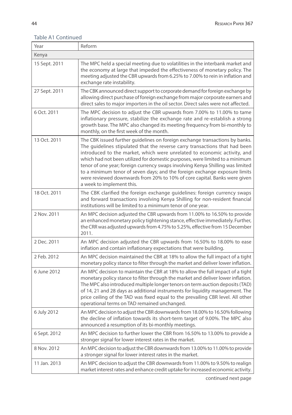#### Year Reform Kenya 15 Sept. 2011 The MPC held a special meeting due to volatilities in the interbank market and the economy at large that impeded the effectiveness of monetary policy. The meeting adjusted the CBR upwards from 6.25% to 7.00% to rein in inflation and exchange rate instability. 27 Sept. 2011 **The CBK** announced direct support to corporate demand for foreign exchange by allowing direct purchase of foreign exchange from major corporate earners and direct sales to major importers in the oil sector. Direct sales were not affected. 6 Oct. 2011 The MPC decision to adjust the CBR upwards from 7.00% to 11.00% to tame inflationary pressure, stabilize the exchange rate and re-establish a strong growth base. The MPC also changed its meeting frequency from bi-monthly to monthly, on the first week of the month. 13 Oct. 2011 The CBK issued further guidelines on foreign exchange transactions by banks. The guidelines stipulated that the reverse carry transactions that had been introduced to the market, which were unrelated to economic activity, and which had not been utilized for domestic purposes, were limited to a minimum tenor of one year; foreign currency swaps involving Kenya Shilling was limited to a minimum tenor of seven days; and the foreign exchange exposure limits were reviewed downwards from 20% to 10% of core capital. Banks were given a week to implement this. 18 Oct. 2011 The CBK clarified the foreign exchange guidelines: foreign currency swaps and forward transactions involving Kenya Shilling for non-resident financial institutions will be limited to a minimum tenor of one year. 2 Nov. 2011 An MPC decision adjusted the CBR upwards from 11.00% to 16.50% to provide an enhanced monetary policy tightening stance, effective immediately. Further, the CRR was adjusted upwards from 4.75% to 5.25%, effective from 15 December 2011. 2 Dec. 2011 An MPC decision adjusted the CBR upwards from 16.50% to 18.00% to ease inflation and contain inflationary expectations that were building. 2 Feb. 2012 An MPC decision maintained the CBR at 18% to allow the full impact of a tight monetary policy stance to filter through the market and deliver lower inflation. 6 June 2012 An MPC decision to maintain the CBR at 18% to allow the full impact of a tight monetary policy stance to filter through the market and deliver lower inflation. The MPC also introduced multiple longer tenors on term auction deposits (TAD) of 14, 21 and 28 days as additional instruments for liquidity management. The price ceiling of the TAD was fixed equal to the prevailing CBR level. All other operational terms on TAD remained unchanged. 6 July 2012 An MPC decision to adjust the CBR downwards from 18.00% to 16.50% following the decline of inflation towards its short-term target of 9.00%. The MPC also announced a resumption of its bi-monthly meetings. 6 Sept. 2012 An MPC decision to further lower the CBR from 16.50% to 13.00% to provide a stronger signal for lower interest rates in the market. 8 Nov. 2012 An MPC decision to adjust the CBR downwards from 13.00% to 11.00% to provide a stronger signal for lower interest rates in the market. 11 Jan. 2013 An MPC decision to adjust the CBR downwards from 11.00% to 9.50% to realign market interest rates and enhance credit uptake for increased economic activity.

#### Table A1 Continued

continued next page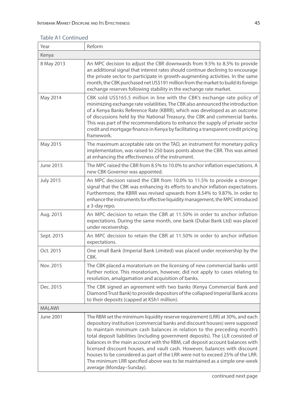#### Table A1 Continued

| Year             | Reform                                                                                                                                                                                                                                                                                                                                                                                                                                                                                                                                                                                                                                                                           |
|------------------|----------------------------------------------------------------------------------------------------------------------------------------------------------------------------------------------------------------------------------------------------------------------------------------------------------------------------------------------------------------------------------------------------------------------------------------------------------------------------------------------------------------------------------------------------------------------------------------------------------------------------------------------------------------------------------|
| Kenya            |                                                                                                                                                                                                                                                                                                                                                                                                                                                                                                                                                                                                                                                                                  |
| 8 May 2013       | An MPC decision to adjust the CBR downwards from 9.5% to 8.5% to provide<br>an additional signal that interest rates should continue declining to encourage<br>the private sector to participate in growth-augmenting activities. In the same<br>month, the CBK purchased net US\$191 million from the market to build its foreign<br>exchange reserves following stability in the exchange rate market.                                                                                                                                                                                                                                                                         |
| May 2014         | CBK sold US\$165.5 million in line with the CBK's exchange rate policy of<br>minimizing exchange rate volatilities. The CBK also announced the introduction<br>of a Kenya Banks Reference Rate (KBRR), which was developed as an outcome<br>of discussions held by the National Treasury, the CBK and commercial banks.<br>This was part of the recommendations to enhance the supply of private sector<br>credit and mortgage finance in Kenya by facilitating a transparent credit pricing<br>framework.                                                                                                                                                                       |
| May 2015         | The maximum acceptable rate on the TAD, an instrument for monetary policy<br>implementation, was raised to 250 basis points above the CBR. This was aimed<br>at enhancing the effectiveness of the instrument.                                                                                                                                                                                                                                                                                                                                                                                                                                                                   |
| June 2015        | The MPC raised the CBR from 8.5% to 10.0% to anchor inflation expectations. A<br>new CBK Governor was appointed.                                                                                                                                                                                                                                                                                                                                                                                                                                                                                                                                                                 |
| <b>July 2015</b> | An MPC decision raised the CBR from 10.0% to 11.5% to provide a stronger<br>signal that the CBK was enhancing its efforts to anchor inflation expectations.<br>Furthermore, the KBRR was revised upwards from 8.54% to 9.87%. In order to<br>enhance the instruments for effective liquidity management, the MPC introduced<br>a 3-day repo.                                                                                                                                                                                                                                                                                                                                     |
| Aug. 2015        | An MPC decision to retain the CBR at 11.50% in order to anchor inflation<br>expectations. During the same month, one bank (Dubai Bank Ltd) was placed<br>under receivership.                                                                                                                                                                                                                                                                                                                                                                                                                                                                                                     |
| Sept. 2015       | An MPC decision to retain the CBR at 11.50% in order to anchor inflation<br>expectations.                                                                                                                                                                                                                                                                                                                                                                                                                                                                                                                                                                                        |
| Oct. 2015        | One small Bank (Imperial Bank Limited) was placed under receivership by the<br>CBK.                                                                                                                                                                                                                                                                                                                                                                                                                                                                                                                                                                                              |
| Nov. 2015        | The CBK placed a moratorium on the licensing of new commercial banks until<br>further notice. This moratorium, however, did not apply to cases relating to<br>resolution, amalgamation and acquisition of banks.                                                                                                                                                                                                                                                                                                                                                                                                                                                                 |
| Dec. 2015        | The CBK signed an agreement with two banks (Kenya Commercial Bank and<br>Diamond Trust Bank) to provide depositors of the collapsed Imperial Bank access<br>to their deposits (capped at KSh1 million).                                                                                                                                                                                                                                                                                                                                                                                                                                                                          |
| <b>MALAWI</b>    |                                                                                                                                                                                                                                                                                                                                                                                                                                                                                                                                                                                                                                                                                  |
| June 2001        | The RBM set the minimum liquidity reserve requirement (LRR) at 30%, and each<br>depository institution (commercial banks and discount houses) were supposed<br>to maintain minimum cash balances in relation to the preceding month's<br>total deposit liabilities (including government deposits). The LLR consisted of<br>balances in the main account with the RBM, call deposit account balances with<br>licensed discount houses, and vault cash. However, balances with discount<br>houses to be considered as part of the LRR were not to exceed 25% of the LRR.<br>The minimum LRR specified above was to be maintained as a simple one-week<br>average (Monday-Sunday). |

continued next page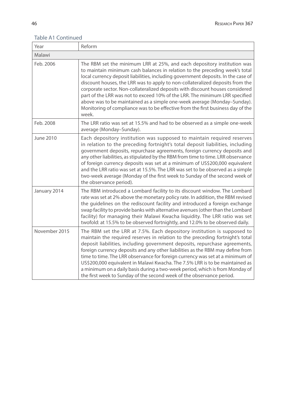#### Table A1 Continued

| Year          | Reform                                                                                                                                                                                                                                                                                                                                                                                                                                                                                                                                                                                                                                                               |
|---------------|----------------------------------------------------------------------------------------------------------------------------------------------------------------------------------------------------------------------------------------------------------------------------------------------------------------------------------------------------------------------------------------------------------------------------------------------------------------------------------------------------------------------------------------------------------------------------------------------------------------------------------------------------------------------|
| Malawi        |                                                                                                                                                                                                                                                                                                                                                                                                                                                                                                                                                                                                                                                                      |
| Feb. 2006     | The RBM set the minimum LRR at 25%, and each depository institution was<br>to maintain minimum cash balances in relation to the preceding week's total<br>local currency deposit liabilities, including government deposits. In the case of<br>discount houses, the LRR was to apply to non-collateralized deposits from the<br>corporate sector. Non-collateralized deposits with discount houses considered<br>part of the LRR was not to exceed 10% of the LRR. The minimum LRR specified<br>above was to be maintained as a simple one-week average (Monday-Sunday).<br>Monitoring of compliance was to be effective from the first business day of the<br>week. |
| Feb. 2008     | The LRR ratio was set at 15.5% and had to be observed as a simple one-week<br>average (Monday-Sunday).                                                                                                                                                                                                                                                                                                                                                                                                                                                                                                                                                               |
| June 2010     | Each depository institution was supposed to maintain required reserves<br>in relation to the preceding fortnight's total deposit liabilities, including<br>government deposits, repurchase agreements, foreign currency deposits and<br>any other liabilities, as stipulated by the RBM from time to time. LRR observance<br>of foreign currency deposits was set at a minimum of US\$200,000 equivalent<br>and the LRR ratio was set at 15.5%. The LRR was set to be observed as a simple<br>two-week average (Monday of the first week to Sunday of the second week of<br>the observance period).                                                                  |
| January 2014  | The RBM introduced a Lombard facility to its discount window. The Lombard<br>rate was set at 2% above the monetary policy rate. In addition, the RBM revised<br>the guidelines on the rediscount facility and introduced a foreign exchange<br>swap facility to provide banks with alternative avenues (other than the Lombard<br>facility) for managing their Malawi Kwacha liquidity. The LRR ratio was set<br>twofold: at 15.5% to be observed fortnightly, and 12.0% to be observed daily.                                                                                                                                                                       |
| November 2015 | The RBM set the LRR at 7.5%. Each depository institution is supposed to<br>maintain the required reserves in relation to the preceding fortnight's total<br>deposit liabilities, including government deposits, repurchase agreements,<br>foreign currency deposits and any other liabilities as the RBM may define from<br>time to time. The LRR observance for foreign currency was set at a minimum of<br>US\$200,000 equivalent in Malawi Kwacha. The 7.5% LRR is to be maintained as<br>a minimum on a daily basis during a two-week period, which is from Monday of<br>the first week to Sunday of the second week of the observance period.                   |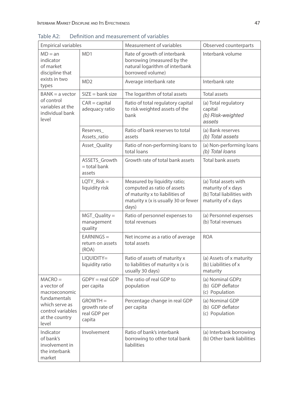| <b>Empirical variables</b>                                                     |                                                        | Measurement of variables                                                                                                                        | Observed counterparts                                                                           |
|--------------------------------------------------------------------------------|--------------------------------------------------------|-------------------------------------------------------------------------------------------------------------------------------------------------|-------------------------------------------------------------------------------------------------|
| $MD = an$<br>indicator<br>of market<br>discipline that                         | MD1                                                    | Rate of growth of interbank<br>borrowing (measured by the<br>natural logarithm of interbank<br>borrowed volume)                                 | Interbank volume                                                                                |
| exists in two<br>types                                                         | MD <sub>2</sub>                                        | Average interbank rate                                                                                                                          | Interbank rate                                                                                  |
| $BANK = a vector$                                                              | $SIZE = bank size$                                     | The logarithm of total assets                                                                                                                   | Total assets                                                                                    |
| of control<br>variables at the<br>individual bank<br>level                     | $CAR = capital$<br>adequacy ratio                      | Ratio of total regulatory capital<br>to risk weighted assets of the<br>bank                                                                     | (a) Total regulatory<br>capital<br>(b) Risk-weighted<br>assets                                  |
|                                                                                | Reserves<br>Assets ratio                               | Ratio of bank reserves to total<br>assets                                                                                                       | (a) Bank reserves<br>(b) Total assets                                                           |
|                                                                                | Asset_Quality                                          | Ratio of non-performing loans to<br>total loans                                                                                                 | (a) Non-performing loans<br>(b) Total loans                                                     |
|                                                                                | ASSETS_Growth<br>$=$ total bank<br>assets              | Growth rate of total bank assets                                                                                                                | Total bank assets                                                                               |
|                                                                                | $LQTY_Risk =$<br>liquidity risk                        | Measured by liquidity ratio;<br>computed as ratio of assets<br>of maturity x to liabilities of<br>maturity x (x is usually 30 or fewer<br>days) | (a) Total assets with<br>maturity of x days<br>(b) Total liabilities with<br>maturity of x days |
|                                                                                | MGT_Quality =<br>management<br>quality                 | Ratio of personnel expenses to<br>total revenues                                                                                                | (a) Personnel expenses<br>(b) Total revenues                                                    |
|                                                                                | $EARNING =$<br>return on assets<br>(ROA)               | Net income as a ratio of average<br>total assets                                                                                                | <b>ROA</b>                                                                                      |
|                                                                                | LIQUIDITY=<br>liquidity ratio                          | Ratio of assets of maturity x<br>to liabilities of maturity x (x is<br>usually 30 days)                                                         | (a) Assets of x maturity<br>(b) Liabilities of x<br>maturity                                    |
| $MACRO =$<br>a vector of<br>macroeconomic                                      | $GDPY = real GDP$<br>per capita                        | The ratio of real GDP to<br>population                                                                                                          | (a) Nominal GDPz<br>(b) GDP deflator<br>(c) Population                                          |
| fundamentals<br>which serve as<br>control variables<br>at the country<br>level | $GROWTH =$<br>growth rate of<br>real GDP per<br>capita | Percentage change in real GDP<br>per capita                                                                                                     | (a) Nominal GDP<br>(b) GDP deflator<br>(c) Population                                           |
| Indicator<br>of bank's<br>involvement in<br>the interbank<br>market            | Involvement                                            | Ratio of bank's interbank<br>borrowing to other total bank<br>liabilities                                                                       | (a) Interbank borrowing<br>(b) Other bank liabilities                                           |

Table A2: Definition and measurement of variables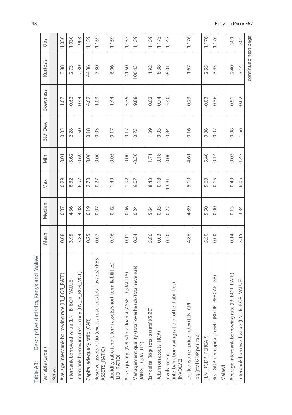| Descriptive statistics, Kenya and Malawi<br>Table A3:                        |      |        |       |         |           |          |          |       |
|------------------------------------------------------------------------------|------|--------|-------|---------|-----------|----------|----------|-------|
| Variable (Label)                                                             | Mean | Median | Max   | Min     | Std. Dev. | Skewness | Kurtosis | Obs.  |
| Kenya                                                                        |      |        |       |         |           |          |          |       |
| Average interbank borrowing rate (IB_BOR_RATE)                               | 0.08 | 0.07   | 0.29  | 0.01    | 0.05      | 1.07     | 3.88     | 1,030 |
| Interbank borrowed value (LN_IB_BOR_VALUE)                                   | 3.95 | 4.36   | 8.32  | $-3.62$ | 2.28      | $-0.62$  | 2.73     | 1,030 |
| BOR_VOL)<br>Interbank borrowing frequency (LN_IB_                            | 3.84 | 4.08   | 6.97  | 0.69    | 1.50      | $-0.44$  | 2.30     | 968   |
| Capital adequacy ratio (CAR)                                                 | 0.25 | 0.19   | 2.70  | 0.06    | 0.18      | 4.62     | 44.36    | 1,159 |
| Reserve assets ratio (excess reserves/total assets) (RES_<br>ASSETS_RATIO)   | 0.07 | 0.07   | 0.27  | 0.00    | 0.03      | 1.03     | 7.30     | 1,159 |
| Liquidity ratio (short-term assets/short-term liabilities)<br>(LIQ RATIO)    | 0.46 | 0.42   | 1.49  | 0.05    | 0.17      | 1.44     | 6.06     | 1,159 |
| QUALITY)<br>Asset quality (NPLs/total loans) (ASSET                          | 0.11 | 0.06   | 1.92  | 0.00    | 0.17      | 5.35     | 41.50    | 1,157 |
| Management quality (total overheads/total revenue)<br>(MNGT_QUALITY)         | 0.34 | 0.24   | 9.07  | $-0.30$ | 0.73      | 9.88     | 106.43   | 1,159 |
| Bank size (log( total assets))(SIZE)                                         | 5.80 | 5.64   | 8.43  | 1.71    | 1.39      | 0.02     | 1.92     | 1,159 |
| Return on assets (ROA)                                                       | 0.03 | 0.03   | 0.18  | $-0.18$ | 0.03      | $-0.74$  | 8.38     | 1,175 |
| (interbank borrowing ratio of other liabilities)<br>Involvement<br>(INVOLVE) | 0.50 | 0.22   | 13.31 | 0.00    | 0.84      | 5.40     | 59.01    | 1,147 |
| Log (consumer price index) (LN_CPI)                                          | 4.86 | 4.89   | 5.10  | 4.61    | 0.16      | $-0.23$  | 1.67     | 1,176 |
| log (real GDP per cap)                                                       |      |        |       |         |           |          |          |       |
| (LN_RGDP_PERCAP)                                                             | 5.50 | 5.50   | 5.60  | 5.40    | 0.06      | $-0.03$  | 2.55     | 1,176 |
| $CAP_GR)$<br>Real GDP per capita growth (RGDP_PER                            | 0.00 | 0.00   | 0.15  | $-0.14$ | 0.07      | 0.36     | 3.43     | 1,176 |
| Malawi                                                                       |      |        |       |         |           |          |          |       |
| OR_RATE)<br>Average interbank borrowing rate (IB_B                           | 0.14 | 0.13   | 0.40  | 0.03    | 0.08      | 0.51     | 2.40     | 300   |
| Interbank borrowed value (LN_IB_BOR_VALUE)                                   | 3.15 | 3.34   | 6.05  | $-1.47$ | 1.56      | $-0.62$  | 3.14     | 301   |

48

continued next page

continued next page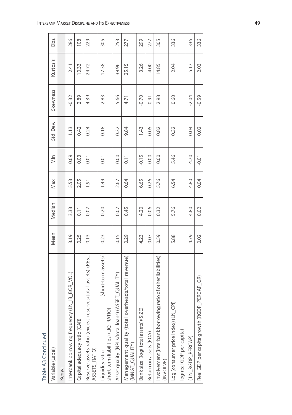| Table A3 Continued                                                           |      |        |      |         |           |          |          |      |
|------------------------------------------------------------------------------|------|--------|------|---------|-----------|----------|----------|------|
| Variable (Label)                                                             | Mean | Median | Max  | Min     | Std. Dev. | Skewness | Kurtosis | Obs. |
| Kenya                                                                        |      |        |      |         |           |          |          |      |
| BOR VOL)<br>Interbank borrowing frequency (LN_IB_                            | 3.19 | 3.33   | 5.53 | 0.69    | 1.13      | $-0.32$  | 2.41     | 286  |
| Capital adequacy ratio (CAR)                                                 | 0.25 | 0.11   | 2.05 | 0.03    | 0.42      | 2.89     | 10.33    | 108  |
| Reserve assets ratio (excess reserves/total assets) (RES_<br>ASSETS_RATIO)   | 0.13 | 0.07   | 1.91 | 0.01    | 0.24      | 4.39     | 24.72    | 229  |
| short-term assets/<br>short-term liabilities) (LIQ_RATIO)<br>Liquidity ratio | 0.23 | 0.20   | 1.49 | 0.01    | 0.18      | 2.83     | 17.38    | 305  |
| QUALITY<br>Asset quality (NPLs/total loans) (ASSET                           | 0.15 | 0.07   | 2.67 | 0.00    | 0.32      | 5.66     | 38.96    | 253  |
| Management quality (total overheads/total revenue)<br>(MNGT_QUALITY)         | 0.29 | 0.45   | 0.64 | 0.11    | 9.84      | 4.71     | 25.15    | 277  |
| Bank size (log( total assets))(SIZE)                                         | 4.23 | 4.20   | 6.65 | $-0.15$ | 1.43      | $-0.70$  | 3.26     | 299  |
| Return on assets (ROA)                                                       | 0.07 | 0.06   | 0.26 | 0.00    | 0.05      | 0.91     | 4.00     | 277  |
| of other liabilities)<br>Involvement (interbank borrowing ratio<br>(INVOLVE) | 0.59 | 0.32   | 5.76 | 0.00    | 0.82      | 2.98     | 14.85    | 305  |
| Log (consumer price index) (LN_CPI)                                          | 5.88 | 5.76   | 6.54 | 5.46    | 0.32      | 0.60     | 2.04     | 336  |
| log(real GDP per capita)                                                     |      |        |      |         |           |          |          |      |
| (LN_RGDP_PERCAP)                                                             | 4.79 | 4.80   | 4.80 | 4.70    | 0.04      | $-2.04$  | 5.17     | 336  |
| Real GDP per capita growth (RGDP_PERCAP_GR)                                  | 0.02 | 0.02   | 0.04 | $-0.01$ | 0.02      | $-0.59$  | 2.03     | 336  |